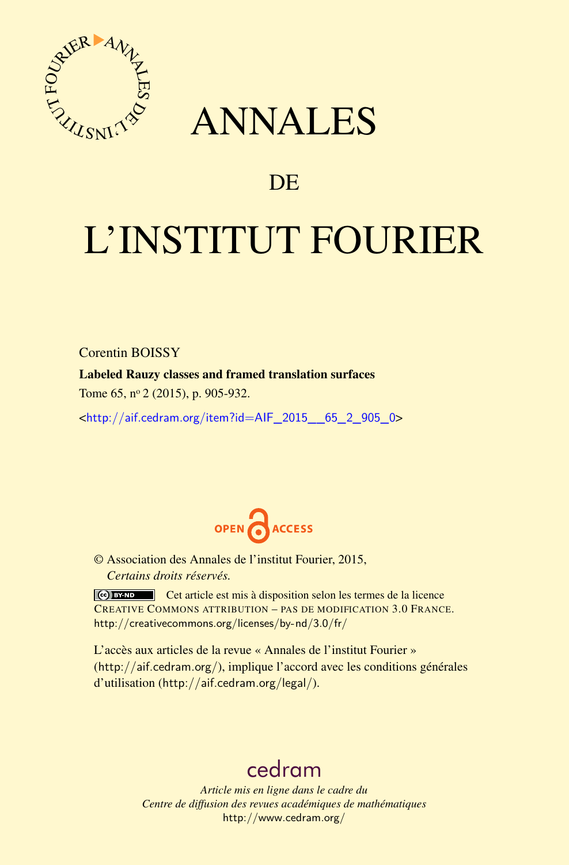

# ANNALES

## **DE**

# L'INSTITUT FOURIER

Corentin BOISSY

Labeled Rauzy classes and framed translation surfaces

Tome 65, nº 2 (2015), p. 905-932.

<[http://aif.cedram.org/item?id=AIF\\_2015\\_\\_65\\_2\\_905\\_0](http://aif.cedram.org/item?id=AIF_2015__65_2_905_0)>



© Association des Annales de l'institut Fourier, 2015, *Certains droits réservés.*

Cet article est mis à disposition selon les termes de la licence CREATIVE COMMONS ATTRIBUTION – PAS DE MODIFICATION 3.0 FRANCE. <http://creativecommons.org/licenses/by-nd/3.0/fr/>

L'accès aux articles de la revue « Annales de l'institut Fourier » (<http://aif.cedram.org/>), implique l'accord avec les conditions générales d'utilisation (<http://aif.cedram.org/legal/>).

# [cedram](http://www.cedram.org/)

*Article mis en ligne dans le cadre du Centre de diffusion des revues académiques de mathématiques* <http://www.cedram.org/>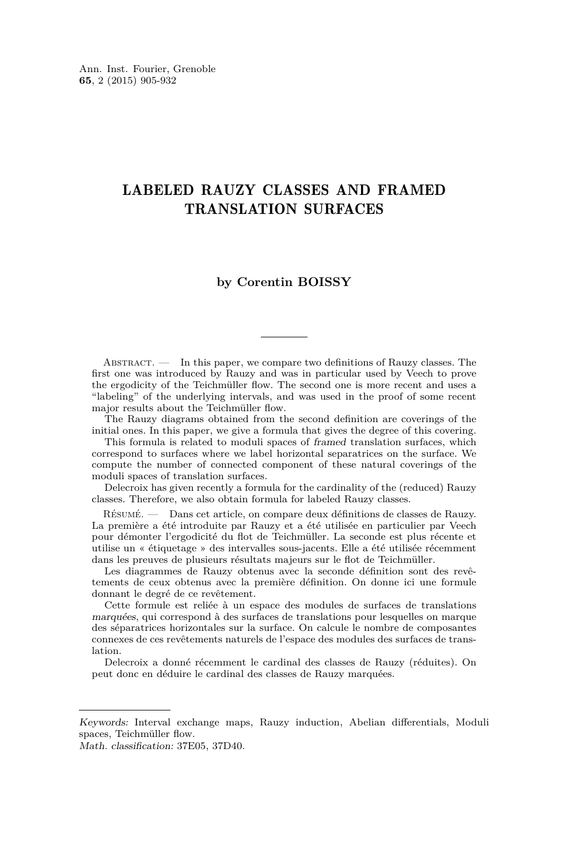### LABELED RAUZY CLASSES AND FRAMED TRANSLATION SURFACES

#### **by Corentin BOISSY**

Abstract. — In this paper, we compare two definitions of Rauzy classes. The first one was introduced by Rauzy and was in particular used by Veech to prove the ergodicity of the Teichmüller flow. The second one is more recent and uses a "labeling" of the underlying intervals, and was used in the proof of some recent major results about the Teichmüller flow.

The Rauzy diagrams obtained from the second definition are coverings of the initial ones. In this paper, we give a formula that gives the degree of this covering.

This formula is related to moduli spaces of framed translation surfaces, which correspond to surfaces where we label horizontal separatrices on the surface. We compute the number of connected component of these natural coverings of the moduli spaces of translation surfaces.

Delecroix has given recently a formula for the cardinality of the (reduced) Rauzy classes. Therefore, we also obtain formula for labeled Rauzy classes.

Résumé. — Dans cet article, on compare deux définitions de classes de Rauzy. La première a été introduite par Rauzy et a été utilisée en particulier par Veech pour démonter l'ergodicité du flot de Teichmüller. La seconde est plus récente et utilise un « étiquetage » des intervalles sous-jacents. Elle a été utilisée récemment dans les preuves de plusieurs résultats majeurs sur le flot de Teichmüller.

Les diagrammes de Rauzy obtenus avec la seconde définition sont des revêtements de ceux obtenus avec la première définition. On donne ici une formule donnant le degré de ce revêtement.

Cette formule est reliée à un espace des modules de surfaces de translations marquées, qui correspond à des surfaces de translations pour lesquelles on marque des séparatrices horizontales sur la surface. On calcule le nombre de composantes connexes de ces revêtements naturels de l'espace des modules des surfaces de translation.

Delecroix a donné récemment le cardinal des classes de Rauzy (réduites). On peut donc en déduire le cardinal des classes de Rauzy marquées.

Keywords: Interval exchange maps, Rauzy induction, Abelian differentials, Moduli spaces, Teichmüller flow.

Math. classification: 37E05, 37D40.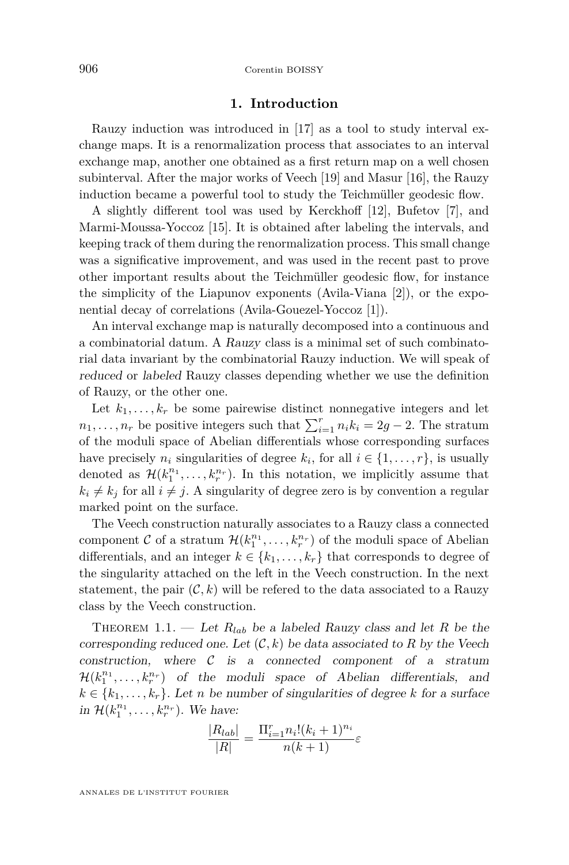#### **1. Introduction**

<span id="page-2-0"></span>Rauzy induction was introduced in [\[17\]](#page-27-0) as a tool to study interval exchange maps. It is a renormalization process that associates to an interval exchange map, another one obtained as a first return map on a well chosen subinterval. After the major works of Veech [\[19\]](#page-28-0) and Masur [\[16\]](#page-27-0), the Rauzy induction became a powerful tool to study the Teichmüller geodesic flow.

A slightly different tool was used by Kerckhoff [\[12\]](#page-27-0), Bufetov [\[7\]](#page-27-0), and Marmi-Moussa-Yoccoz [\[15\]](#page-27-0). It is obtained after labeling the intervals, and keeping track of them during the renormalization process. This small change was a significative improvement, and was used in the recent past to prove other important results about the Teichmüller geodesic flow, for instance the simplicity of the Liapunov exponents (Avila-Viana [\[2\]](#page-27-0)), or the exponential decay of correlations (Avila-Gouezel-Yoccoz [\[1\]](#page-27-0)).

An interval exchange map is naturally decomposed into a continuous and a combinatorial datum. A Rauzy class is a minimal set of such combinatorial data invariant by the combinatorial Rauzy induction. We will speak of reduced or labeled Rauzy classes depending whether we use the definition of Rauzy, or the other one.

Let  $k_1, \ldots, k_r$  be some pairewise distinct nonnegative integers and let  $n_1, \ldots, n_r$  be positive integers such that  $\sum_{i=1}^r n_i k_i = 2g - 2$ . The stratum of the moduli space of Abelian differentials whose corresponding surfaces have precisely  $n_i$  singularities of degree  $k_i$ , for all  $i \in \{1, ..., r\}$ , is usually denoted as  $\mathcal{H}(k_1^{n_1}, \ldots, k_r^{n_r})$ . In this notation, we implicitly assume that  $k_i \neq k_j$  for all  $i \neq j$ . A singularity of degree zero is by convention a regular marked point on the surface.

The Veech construction naturally associates to a Rauzy class a connected component  $C$  of a stratum  $\mathcal{H}(k_1^{n_1}, \ldots, k_r^{n_r})$  of the moduli space of Abelian differentials, and an integer  $k \in \{k_1, \ldots, k_r\}$  that corresponds to degree of the singularity attached on the left in the Veech construction. In the next statement, the pair  $(C, k)$  will be referred to the data associated to a Rauzy class by the Veech construction.

THEOREM 1.1. — Let  $R_{lab}$  be a labeled Rauzy class and let R be the corresponding reduced one. Let  $(C, k)$  be data associated to R by the Veech construction, where  $\mathcal C$  is a connected component of a stratum  $\mathcal{H}(k_1^{n_1}, \ldots, k_r^{n_r})$  of the moduli space of Abelian differentials, and  $k \in \{k_1, \ldots, k_r\}$ . Let *n* be number of singularities of degree *k* for a surface in  $\mathcal{H}(k_1^{n_1}, \ldots, k_r^{n_r})$ . We have:

$$
\frac{|R_{lab}|}{|R|} = \frac{\Pi_{i=1}^{r} n_i! (k_i + 1)^{n_i}}{n(k+1)} \varepsilon
$$

ANNALES DE L'INSTITUT FOURIER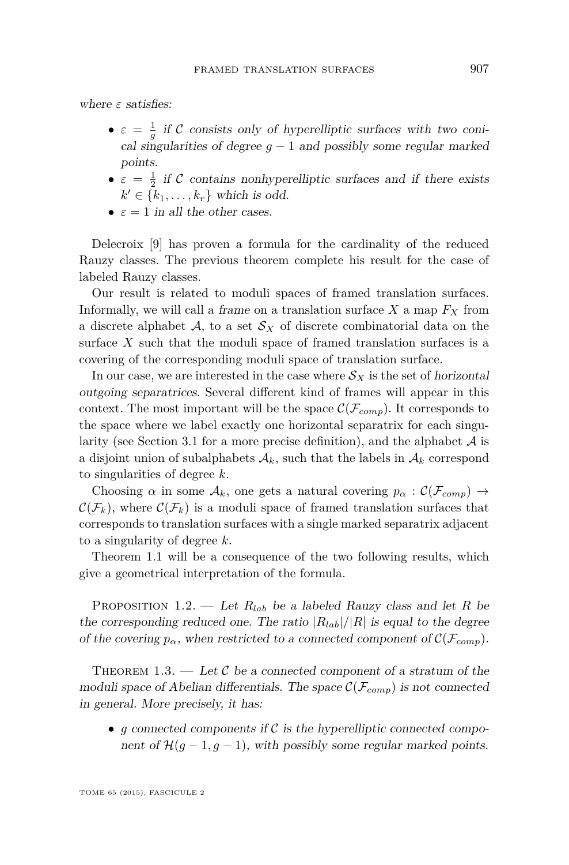<span id="page-3-0"></span>where *ε* satisfies:

- $\bullet \varepsilon = \frac{1}{g}$  if C consists only of hyperelliptic surfaces with two conical singularities of degree  $g - 1$  and possibly some regular marked points.
- $\bullet \varepsilon = \frac{1}{2}$  if C contains nonhyperelliptic surfaces and if there exists  $k' \in \{k_1, \ldots, k_r\}$  which is odd.
- $\varepsilon = 1$  in all the other cases.

Delecroix [\[9\]](#page-27-0) has proven a formula for the cardinality of the reduced Rauzy classes. The previous theorem complete his result for the case of labeled Rauzy classes.

Our result is related to moduli spaces of framed translation surfaces. Informally, we will call a frame on a translation surface  $X$  a map  $F_X$  from a discrete alphabet  $A$ , to a set  $S_X$  of discrete combinatorial data on the surface *X* such that the moduli space of framed translation surfaces is a covering of the corresponding moduli space of translation surface.

In our case, we are interested in the case where  $\mathcal{S}_X$  is the set of horizontal outgoing separatrices. Several different kind of frames will appear in this context. The most important will be the space  $\mathcal{C}(\mathcal{F}_{comp})$ . It corresponds to the space where we label exactly one horizontal separatrix for each singu-larity (see Section [3.1](#page-10-0) for a more precise definition), and the alphabet  $A$  is a disjoint union of subalphabets  $A_k$ , such that the labels in  $A_k$  correspond to singularities of degree *k*.

Choosing *α* in some  $\mathcal{A}_k$ , one gets a natural covering  $p_\alpha : \mathcal{C}(\mathcal{F}_{comp}) \rightarrow$  $\mathcal{C}(\mathcal{F}_k)$ , where  $\mathcal{C}(\mathcal{F}_k)$  is a moduli space of framed translation surfaces that corresponds to translation surfaces with a single marked separatrix adjacent to a singularity of degree *k*.

Theorem [1.1](#page-2-0) will be a consequence of the two following results, which give a geometrical interpretation of the formula.

PROPOSITION 1.2. — Let  $R_{lab}$  be a labeled Rauzy class and let R be the corresponding reduced one. The ratio  $|R_{lab}|/|R|$  is equal to the degree of the covering  $p_{\alpha}$ , when restricted to a connected component of  $\mathcal{C}(\mathcal{F}_{comp})$ .

THEOREM 1.3. — Let C be a connected component of a stratum of the moduli space of Abelian differentials. The space  $\mathcal{C}(\mathcal{F}_{comp})$  is not connected in general. More precisely, it has:

• *g* connected components if  $\mathcal C$  is the hyperelliptic connected component of  $\mathcal{H}(g-1,g-1)$ , with possibly some regular marked points.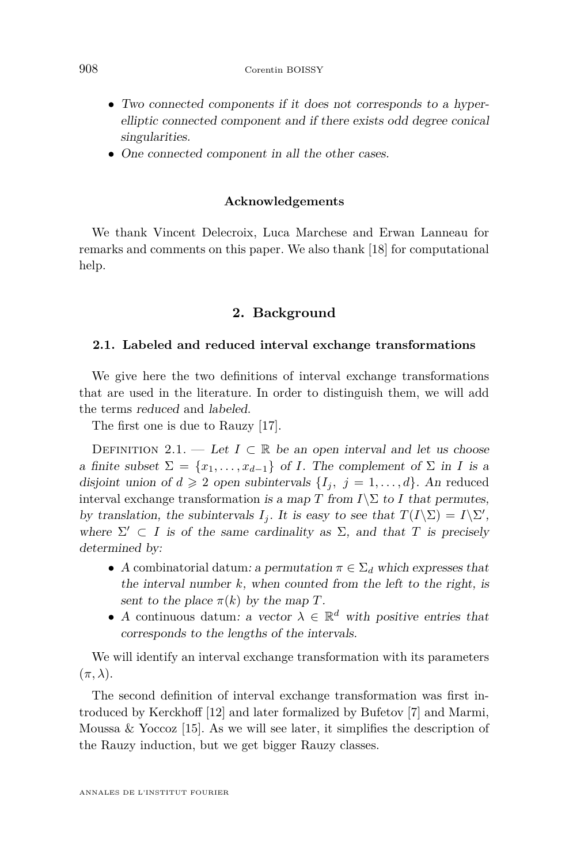- Two connected components if it does not corresponds to a hyperelliptic connected component and if there exists odd degree conical singularities.
- One connected component in all the other cases.

#### **Acknowledgements**

We thank Vincent Delecroix, Luca Marchese and Erwan Lanneau for remarks and comments on this paper. We also thank [\[18\]](#page-28-0) for computational help.

#### **2. Background**

#### **2.1. Labeled and reduced interval exchange transformations**

We give here the two definitions of interval exchange transformations that are used in the literature. In order to distinguish them, we will add the terms reduced and labeled.

The first one is due to Rauzy [\[17\]](#page-27-0).

DEFINITION 2.1. — Let  $I \subset \mathbb{R}$  be an open interval and let us choose a finite subset  $\Sigma = \{x_1, \ldots, x_{d-1}\}\$  of *I*. The complement of  $\Sigma$  in *I* is a disjoint union of  $d \geq 2$  open subintervals  $\{I_j, j = 1, \ldots, d\}$ . An reduced interval exchange transformation is a map *T* from  $I\$  to *I* that permutes, by translation, the subintervals *I<sub>j</sub>*. It is easy to see that  $T(I\backslash \Sigma) = I\backslash \Sigma'$ , where  $\Sigma' \subset I$  is of the same cardinality as  $\Sigma$ , and that *T* is precisely determined by:

- A combinatorial datum: a permutation  $\pi \in \Sigma_d$  which expresses that the interval number *k*, when counted from the left to the right, is sent to the place  $\pi(k)$  by the map *T*.
- A continuous datum: a vector  $\lambda \in \mathbb{R}^d$  with positive entries that corresponds to the lengths of the intervals.

We will identify an interval exchange transformation with its parameters  $(\pi, \lambda).$ 

The second definition of interval exchange transformation was first introduced by Kerckhoff [\[12\]](#page-27-0) and later formalized by Bufetov [\[7\]](#page-27-0) and Marmi, Moussa & Yoccoz  $[15]$ . As we will see later, it simplifies the description of the Rauzy induction, but we get bigger Rauzy classes.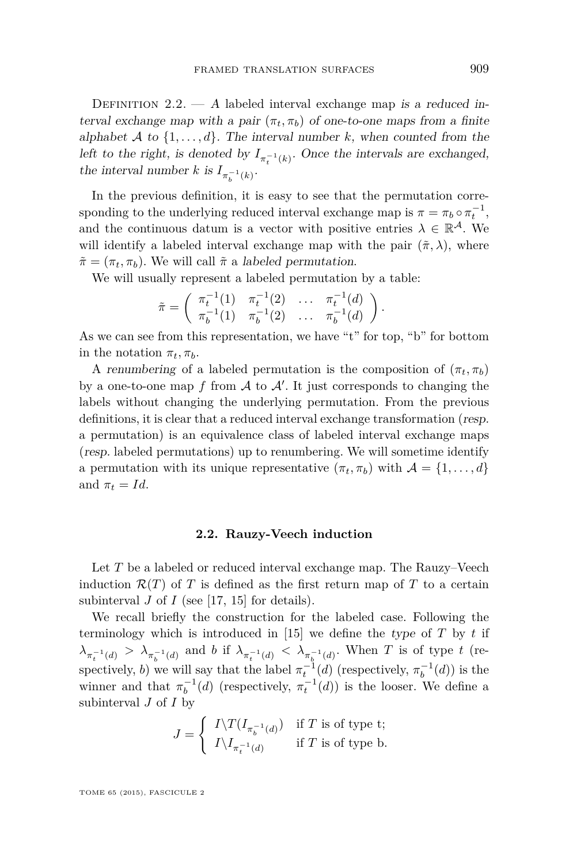DEFINITION  $2.2. - A$  labeled interval exchange map is a reduced interval exchange map with a pair  $(\pi_t, \pi_b)$  of one-to-one maps from a finite alphabet A to  $\{1, \ldots, d\}$ . The interval number k, when counted from the left to the right, is denoted by  $I_{\pi_t^{-1}(k)}$ . Once the intervals are exchanged, the interval number *k* is  $I_{\pi_b^{-1}(k)}$ .

In the previous definition, it is easy to see that the permutation corresponding to the underlying reduced interval exchange map is  $\pi = \pi_b \circ \pi_t^{-1}$ , and the continuous datum is a vector with positive entries  $\lambda \in \mathbb{R}^{\mathcal{A}}$ . We will identify a labeled interval exchange map with the pair  $(\tilde{\pi}, \lambda)$ , where  $\tilde{\pi} = (\pi_t, \pi_b)$ . We will call  $\tilde{\pi}$  a labeled permutation.

We will usually represent a labeled permutation by a table:

$$
\tilde{\pi} = \begin{pmatrix} \pi_t^{-1}(1) & \pi_t^{-1}(2) & \dots & \pi_t^{-1}(d) \\ \pi_b^{-1}(1) & \pi_b^{-1}(2) & \dots & \pi_b^{-1}(d) \end{pmatrix}.
$$

As we can see from this representation, we have "t" for top, "b" for bottom in the notation  $\pi_t, \pi_b$ .

A renumbering of a labeled permutation is the composition of  $(\pi_t, \pi_b)$ by a one-to-one map  $f$  from  $\mathcal A$  to  $\mathcal A'$ . It just corresponds to changing the labels without changing the underlying permutation. From the previous definitions, it is clear that a reduced interval exchange transformation (resp. a permutation) is an equivalence class of labeled interval exchange maps (resp. labeled permutations) up to renumbering. We will sometime identify a permutation with its unique representative  $(\pi_t, \pi_b)$  with  $\mathcal{A} = \{1, \ldots, d\}$ and  $\pi_t = Id$ .

#### **2.2. Rauzy-Veech induction**

Let *T* be a labeled or reduced interval exchange map. The Rauzy–Veech induction  $\mathcal{R}(T)$  of *T* is defined as the first return map of *T* to a certain subinterval  $J$  of  $I$  (see [\[17,](#page-27-0) [15\]](#page-27-0) for details).

We recall briefly the construction for the labeled case. Following the terminology which is introduced in [\[15\]](#page-27-0) we define the type of  $T$  by  $t$  if  $\lambda_{\pi_t^{-1}(d)} > \lambda_{\pi_b^{-1}(d)}$  and *b* if  $\lambda_{\pi_t^{-1}(d)} < \lambda_{\pi_b^{-1}(d)}$ . When *T* is of type *t* (respectively, *b*) we will say that the label  $\pi_t^{-1}(d)$  (respectively,  $\pi_b^{-1}(d)$ ) is the winner and that  $\pi_b^{-1}(d)$  (respectively,  $\pi_t^{-1}(d)$ ) is the looser. We define a subinterval *J* of *I* by

$$
J = \begin{cases} I \backslash T(I_{\pi_b^{-1}(d)}) & \text{if } T \text{ is of type t}; \\ I \backslash I_{\pi_t^{-1}(d)} & \text{if } T \text{ is of type b}. \end{cases}
$$

TOME 65 (2015), FASCICULE 2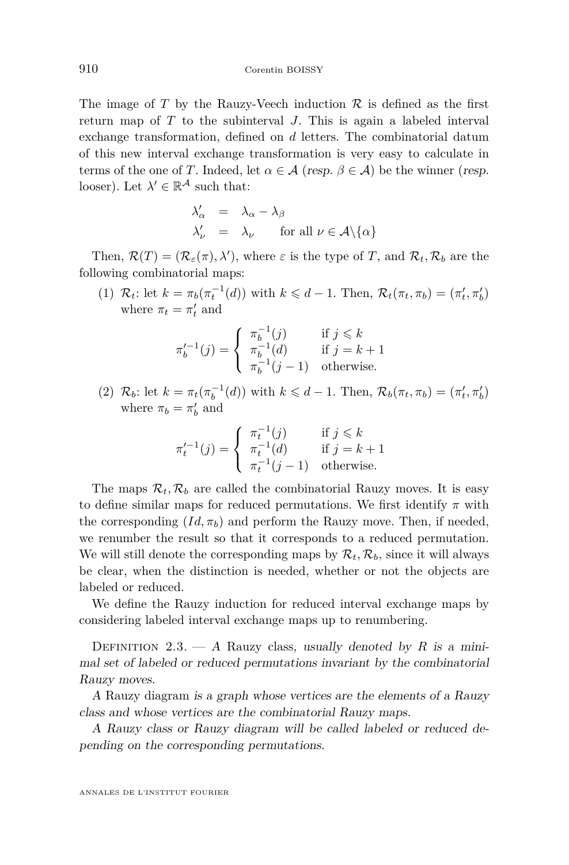The image of  $T$  by the Rauzy-Veech induction  $\mathcal R$  is defined as the first return map of *T* to the subinterval *J*. This is again a labeled interval exchange transformation, defined on *d* letters. The combinatorial datum of this new interval exchange transformation is very easy to calculate in terms of the one of *T*. Indeed, let  $\alpha \in \mathcal{A}$  (resp.  $\beta \in \mathcal{A}$ ) be the winner (resp. looser). Let  $\lambda' \in \mathbb{R}^{\mathcal{A}}$  such that:

$$
\begin{array}{rcl}\n\lambda'_{\alpha} & = & \lambda_{\alpha} - \lambda_{\beta} \\
\lambda'_{\nu} & = & \lambda_{\nu} \qquad \text{for all } \nu \in \mathcal{A} \setminus \{\alpha\}\n\end{array}
$$

Then,  $\mathcal{R}(T) = (\mathcal{R}_{\varepsilon}(\pi), \lambda')$ , where  $\varepsilon$  is the type of T, and  $\mathcal{R}_t$ ,  $\mathcal{R}_b$  are the following combinatorial maps:

(1)  $\mathcal{R}_t$ : let  $k = \pi_b(\pi_t^{-1}(d))$  with  $k \le d - 1$ . Then,  $\mathcal{R}_t(\pi_t, \pi_b) = (\pi'_t, \pi'_b)$ where  $\pi_t = \pi'_t$  and

$$
\pi_b'^{-1}(j) = \begin{cases} \pi_b^{-1}(j) & \text{if } j \leq k \\ \pi_b^{-1}(d) & \text{if } j = k+1 \\ \pi_b^{-1}(j-1) & \text{otherwise.} \end{cases}
$$

(2)  $\mathcal{R}_b$ : let  $k = \pi_t(\pi_b^{-1}(d))$  with  $k \le d - 1$ . Then,  $\mathcal{R}_b(\pi_t, \pi_b) = (\pi'_t, \pi'_b)$ where  $\pi_b = \pi'_b$  and

$$
\pi_t'^{-1}(j) = \begin{cases}\n\pi_t^{-1}(j) & \text{if } j \leq k \\
\pi_t^{-1}(d) & \text{if } j = k+1 \\
\pi_t^{-1}(j-1) & \text{otherwise.} \n\end{cases}
$$

The maps  $\mathcal{R}_t$ ,  $\mathcal{R}_b$  are called the combinatorial Rauzy moves. It is easy to define similar maps for reduced permutations. We first identify *π* with the corresponding  $(Id, \pi_b)$  and perform the Rauzy move. Then, if needed, we renumber the result so that it corresponds to a reduced permutation. We will still denote the corresponding maps by  $\mathcal{R}_t$ ,  $\mathcal{R}_b$ , since it will always be clear, when the distinction is needed, whether or not the objects are labeled or reduced.

We define the Rauzy induction for reduced interval exchange maps by considering labeled interval exchange maps up to renumbering.

DEFINITION 2.3.  $- A$  Rauzy class, usually denoted by R is a minimal set of labeled or reduced permutations invariant by the combinatorial Rauzy moves.

A Rauzy diagram is a graph whose vertices are the elements of a Rauzy class and whose vertices are the combinatorial Rauzy maps.

A Rauzy class or Rauzy diagram will be called labeled or reduced depending on the corresponding permutations.

ANNALES DE L'INSTITUT FOURIER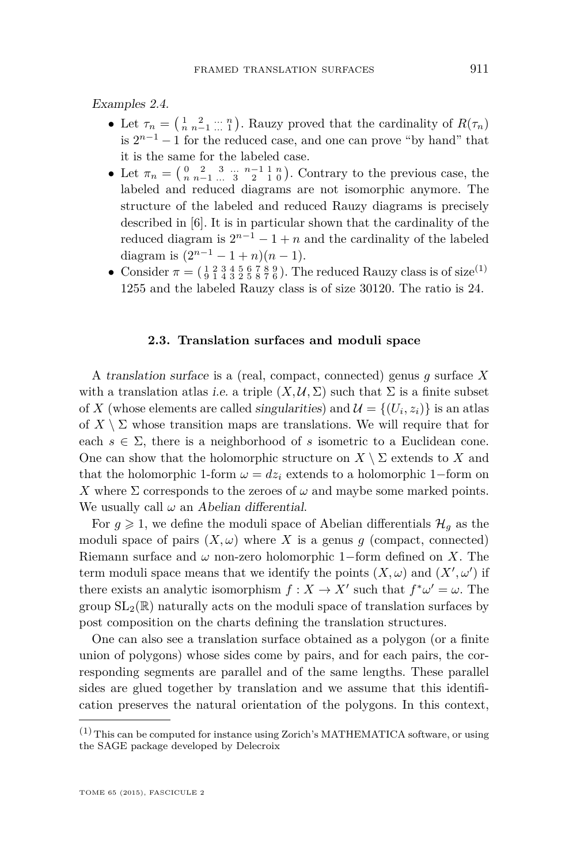<span id="page-7-0"></span>Examples 2.4.

- Let  $\tau_n = \begin{pmatrix} 1 & 2 & \dots & n \\ n & n-1 & \dots & 1 \end{pmatrix}$ . Rauzy proved that the cardinality of  $R(\tau_n)$ is  $2^{n-1} - 1$  for the reduced case, and one can prove "by hand" that it is the same for the labeled case.
- Let  $\pi_n = \begin{pmatrix} 0 & 2 & 3 & \dots & n-1 & 1 & n \\ n & n-1 & \dots & 3 & 2 & 1 & 0 \end{pmatrix}$ . Contrary to the previous case, the labeled and reduced diagrams are not isomorphic anymore. The structure of the labeled and reduced Rauzy diagrams is precisely described in [\[6\]](#page-27-0). It is in particular shown that the cardinality of the reduced diagram is  $2^{n-1} - 1 + n$  and the cardinality of the labeled diagram is  $(2^{n-1} - 1 + n)(n - 1)$ .
- Consider  $\pi = (\frac{1}{9} \frac{2}{1} \frac{3}{4} \frac{4}{3} \frac{5}{2} \frac{6}{5} \frac{7}{8} \frac{8}{7} \frac{9}{6})$ . The reduced Rauzy class is of size<sup>(1)</sup> 1255 and the labeled Rauzy class is of size 30120. The ratio is 24.

#### **2.3. Translation surfaces and moduli space**

A translation surface is a (real, compact, connected) genus *g* surface *X* with a translation atlas i.e. a triple  $(X, \mathcal{U}, \Sigma)$  such that  $\Sigma$  is a finite subset of *X* (whose elements are called singularities) and  $\mathcal{U} = \{(U_i, z_i)\}\$ is an atlas of  $X \setminus \Sigma$  whose transition maps are translations. We will require that for each  $s \in \Sigma$ , there is a neighborhood of *s* isometric to a Euclidean cone. One can show that the holomorphic structure on  $X \setminus \Sigma$  extends to *X* and that the holomorphic 1-form  $\omega = dz_i$  extends to a holomorphic 1-form on *X* where  $\Sigma$  corresponds to the zeroes of  $\omega$  and maybe some marked points. We usually call  $\omega$  an Abelian differential.

For  $g \geq 1$ , we define the moduli space of Abelian differentials  $\mathcal{H}_g$  as the moduli space of pairs  $(X, \omega)$  where X is a genus *g* (compact, connected) Riemann surface and  $\omega$  non-zero holomorphic 1–form defined on *X*. The term moduli space means that we identify the points  $(X, \omega)$  and  $(X', \omega')$  if there exists an analytic isomorphism  $f: X \to X'$  such that  $f^* \omega' = \omega$ . The group  $SL_2(\mathbb{R})$  naturally acts on the moduli space of translation surfaces by post composition on the charts defining the translation structures.

One can also see a translation surface obtained as a polygon (or a finite union of polygons) whose sides come by pairs, and for each pairs, the corresponding segments are parallel and of the same lengths. These parallel sides are glued together by translation and we assume that this identification preserves the natural orientation of the polygons. In this context,

 $(1)$  This can be computed for instance using Zorich's MATHEMATICA software, or using the SAGE package developed by Delecroix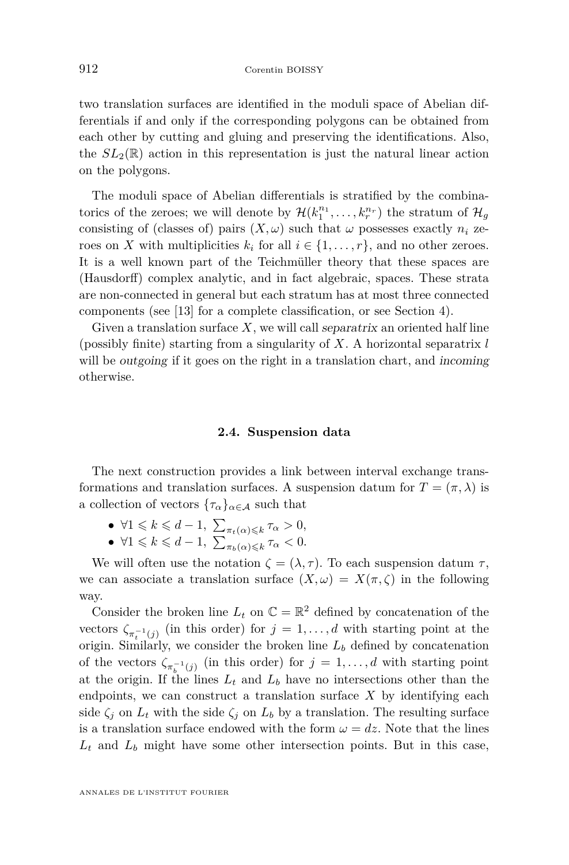two translation surfaces are identified in the moduli space of Abelian differentials if and only if the corresponding polygons can be obtained from each other by cutting and gluing and preserving the identifications. Also, the  $SL_2(\mathbb{R})$  action in this representation is just the natural linear action on the polygons.

The moduli space of Abelian differentials is stratified by the combinatorics of the zeroes; we will denote by  $\mathcal{H}(k_1^{n_1}, \ldots, k_r^{n_r})$  the stratum of  $\mathcal{H}_g$ consisting of (classes of) pairs  $(X, \omega)$  such that  $\omega$  possesses exactly  $n_i$  zeroes on *X* with multiplicities  $k_i$  for all  $i \in \{1, \ldots, r\}$ , and no other zeroes. It is a well known part of the Teichmüller theory that these spaces are (Hausdorff) complex analytic, and in fact algebraic, spaces. These strata are non-connected in general but each stratum has at most three connected components (see [\[13\]](#page-27-0) for a complete classification, or see Section [4\)](#page-14-0).

Given a translation surface *X*, we will call separatrix an oriented half line (possibly finite) starting from a singularity of *X*. A horizontal separatrix *l* will be *outgoing* if it goes on the right in a translation chart, and *incoming* otherwise.

#### **2.4. Suspension data**

The next construction provides a link between interval exchange transformations and translation surfaces. A suspension datum for  $T = (\pi, \lambda)$  is a collection of vectors  $\{\tau_{\alpha}\}_{{\alpha \in \mathcal{A}}}$  such that

- $\bullet$   $\forall$ 1 ≤ *k* ≤ *d* − 1,  $\sum_{\pi_t(\alpha) \leq k} \tau_\alpha > 0$ ,
- $\bullet$   $\forall 1 \leq k \leq d-1, \sum_{\pi_b(\alpha) \leq k} \tau_\alpha < 0.$

We will often use the notation  $\zeta = (\lambda, \tau)$ . To each suspension datum  $\tau$ , we can associate a translation surface  $(X, \omega) = X(\pi, \zeta)$  in the following way.

Consider the broken line  $L_t$  on  $\mathbb{C} = \mathbb{R}^2$  defined by concatenation of the vectors  $\zeta_{\pi_t^{-1}(j)}$  (in this order) for  $j = 1, \ldots, d$  with starting point at the origin. Similarly, we consider the broken line  $L_b$  defined by concatenation of the vectors  $\zeta_{\pi_b^{-1}(j)}$  (in this order) for  $j = 1, \ldots, d$  with starting point at the origin. If the lines  $L_t$  and  $L_b$  have no intersections other than the endpoints, we can construct a translation surface  $X$  by identifying each side  $\zeta_j$  on  $L_t$  with the side  $\zeta_j$  on  $L_b$  by a translation. The resulting surface is a translation surface endowed with the form  $\omega = dz$ . Note that the lines *L<sup>t</sup>* and *L<sup>b</sup>* might have some other intersection points. But in this case,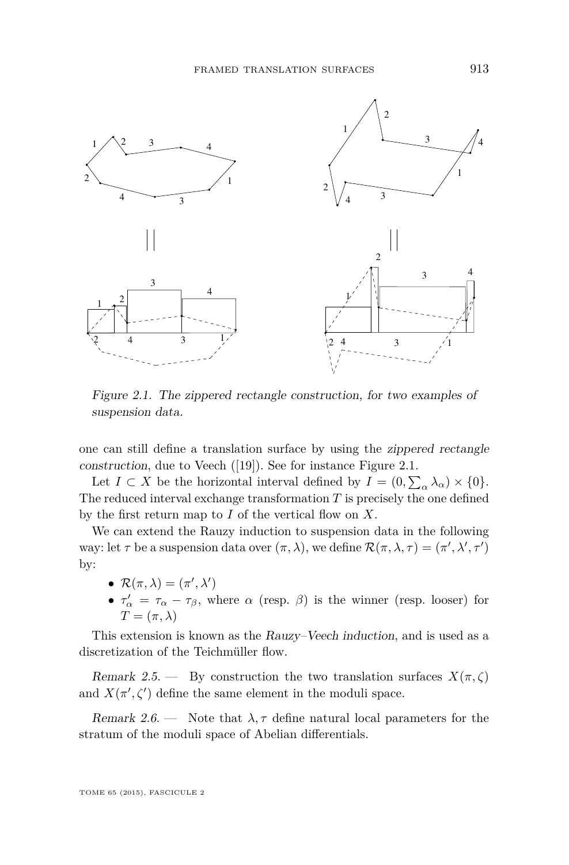

Figure 2.1. The zippered rectangle construction, for two examples of suspension data.

one can still define a translation surface by using the zippered rectangle construction, due to Veech ([\[19\]](#page-28-0)). See for instance Figure 2.1.

Let  $I \subset X$  be the horizontal interval defined by  $I = (0, \sum_{\alpha} \lambda_{\alpha}) \times \{0\}.$ The reduced interval exchange transformation *T* is precisely the one defined by the first return map to *I* of the vertical flow on *X*.

We can extend the Rauzy induction to suspension data in the following way: let  $\tau$  be a suspension data over  $(\pi, \lambda)$ , we define  $\mathcal{R}(\pi, \lambda, \tau) = (\pi', \lambda', \tau')$ by:

- $\mathcal{R}(\pi,\lambda) = (\pi',\lambda')$
- $\tau'_{\alpha} = \tau_{\alpha} \tau_{\beta}$ , where  $\alpha$  (resp.  $\beta$ ) is the winner (resp. looser) for  $T = (\pi, \lambda)$

This extension is known as the Rauzy–Veech induction, and is used as a discretization of the Teichmüller flow.

Remark 2.5. — By construction the two translation surfaces  $X(\pi, \zeta)$ and  $X(\pi', \zeta')$  define the same element in the moduli space.

Remark 2.6. — Note that  $\lambda$ ,  $\tau$  define natural local parameters for the stratum of the moduli space of Abelian differentials.

TOME 65 (2015), FASCICULE 2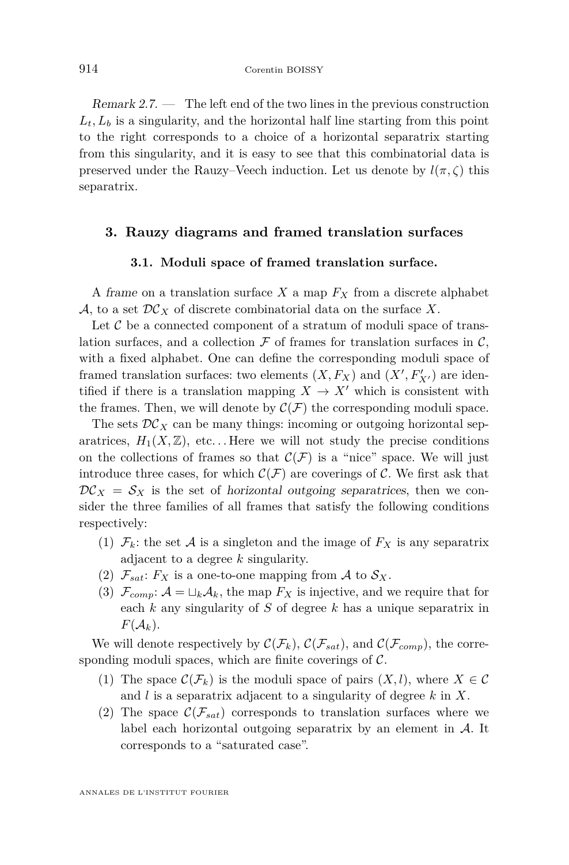<span id="page-10-0"></span>Remark 2.7. — The left end of the two lines in the previous construction  $L_t, L_b$  is a singularity, and the horizontal half line starting from this point to the right corresponds to a choice of a horizontal separatrix starting from this singularity, and it is easy to see that this combinatorial data is preserved under the Rauzy–Veech induction. Let us denote by  $l(\pi, \zeta)$  this separatrix.

#### **3. Rauzy diagrams and framed translation surfaces**

#### **3.1. Moduli space of framed translation surface.**

A frame on a translation surface *X* a map *F<sup>X</sup>* from a discrete alphabet A, to a set  $DC<sub>X</sub>$  of discrete combinatorial data on the surface X.

Let  $\mathcal C$  be a connected component of a stratum of moduli space of translation surfaces, and a collection  $\mathcal F$  of frames for translation surfaces in  $\mathcal C$ , with a fixed alphabet. One can define the corresponding moduli space of framed translation surfaces: two elements  $(X, F_X)$  and  $(X', F'_{X'})$  are identified if there is a translation mapping  $X \to X'$  which is consistent with the frames. Then, we will denote by  $\mathcal{C}(\mathcal{F})$  the corresponding moduli space.

The sets  $\mathcal{DC}_X$  can be many things: incoming or outgoing horizontal separatrices,  $H_1(X,\mathbb{Z})$ , etc... Here we will not study the precise conditions on the collections of frames so that  $\mathcal{C}(\mathcal{F})$  is a "nice" space. We will just introduce three cases, for which  $\mathcal{C}(\mathcal{F})$  are coverings of C. We first ask that  $\mathcal{D}\mathcal{C}_X = \mathcal{S}_X$  is the set of horizontal outgoing separatrices, then we consider the three families of all frames that satisfy the following conditions respectively:

- (1)  $\mathcal{F}_k$ : the set A is a singleton and the image of  $F_X$  is any separatrix adjacent to a degree *k* singularity.
- (2)  $\mathcal{F}_{sat}$ :  $F_X$  is a one-to-one mapping from A to  $\mathcal{S}_X$ .
- (3)  $\mathcal{F}_{comp}: A = \sqcup_k \mathcal{A}_k$ , the map  $F_X$  is injective, and we require that for each *k* any singularity of *S* of degree *k* has a unique separatrix in  $F(A_k)$ .

We will denote respectively by  $\mathcal{C}(\mathcal{F}_k)$ ,  $\mathcal{C}(\mathcal{F}_{sat})$ , and  $\mathcal{C}(\mathcal{F}_{comp})$ , the corresponding moduli spaces, which are finite coverings of  $C$ .

- (1) The space  $\mathcal{C}(\mathcal{F}_k)$  is the moduli space of pairs  $(X, l)$ , where  $X \in \mathcal{C}$ and *l* is a separatrix adjacent to a singularity of degree *k* in *X*.
- (2) The space  $\mathcal{C}(\mathcal{F}_{sat})$  corresponds to translation surfaces where we label each horizontal outgoing separatrix by an element in A. It corresponds to a "saturated case".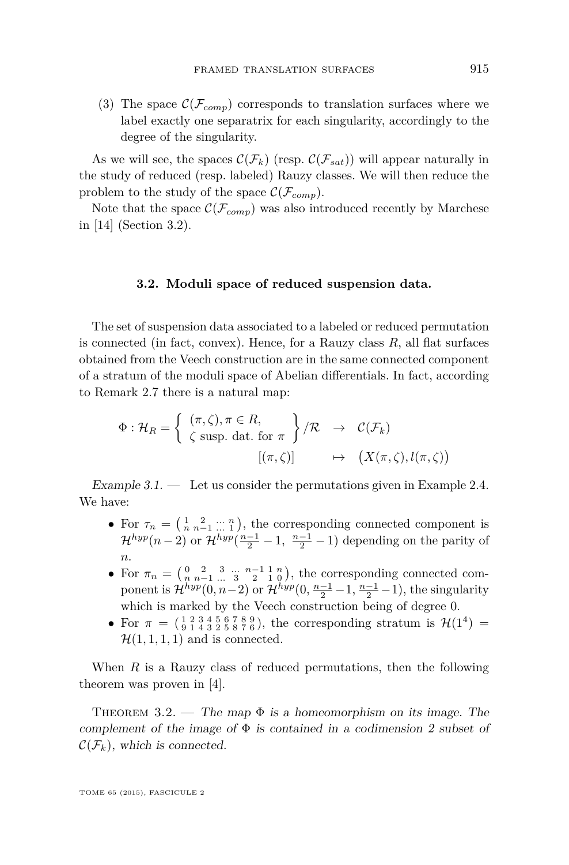(3) The space  $\mathcal{C}(\mathcal{F}_{comp})$  corresponds to translation surfaces where we label exactly one separatrix for each singularity, accordingly to the degree of the singularity.

As we will see, the spaces  $\mathcal{C}(\mathcal{F}_k)$  (resp.  $\mathcal{C}(\mathcal{F}_{sat})$ ) will appear naturally in the study of reduced (resp. labeled) Rauzy classes. We will then reduce the problem to the study of the space  $\mathcal{C}(\mathcal{F}_{comp})$ .

Note that the space  $\mathcal{C}(\mathcal{F}_{comp})$  was also introduced recently by Marchese in [\[14\]](#page-27-0) (Section 3.2).

#### **3.2. Moduli space of reduced suspension data.**

The set of suspension data associated to a labeled or reduced permutation is connected (in fact, convex). Hence, for a Rauzy class  $R$ , all flat surfaces obtained from the Veech construction are in the same connected component of a stratum of the moduli space of Abelian differentials. In fact, according to Remark [2.7](#page-10-0) there is a natural map:

$$
\Phi: \mathcal{H}_R = \left\{ \begin{array}{lcl} (\pi, \zeta), \pi \in R, \\ \zeta \text{ supp. dat. for } \pi \end{array} \right\} / \mathcal{R} \rightarrow \mathcal{C}(\mathcal{F}_k)
$$

$$
[(\pi, \zeta)] \rightarrow (X(\pi, \zeta), l(\pi, \zeta))
$$

Example  $3.1.$  — Let us consider the permutations given in Example [2.4.](#page-7-0) We have:

- For  $\tau_n = \left(\begin{matrix} 1 & 2 & \dots & n \\ n & n-1 & \dots & 1 \end{matrix}\right)$ , the corresponding connected component is  $\mathcal{H}^{hyp}(n-2)$  or  $\mathcal{H}^{hyp}(\frac{n-1}{2}-1, \frac{n-1}{2}-1)$  depending on the parity of *n*.
- For  $\pi_n = \begin{pmatrix} 0 & 2 & 3 & \dots & n-1 & 1 & n \\ n & n-1 & \dots & 3 & 2 & 1 & 0 \end{pmatrix}$ , the corresponding connected component is  $\mathcal{H}^{hyp}(0, n-2)$  or  $\mathcal{H}^{hyp}(0, \frac{n-1}{2} - 1, \frac{n-1}{2} - 1)$ , the singularity which is marked by the Veech construction being of degree 0.
- For  $\pi = (\frac{1}{9} \frac{2}{1} \frac{3}{4} \frac{4}{3} \frac{5}{2} \frac{6}{5} \frac{7}{7} \frac{8}{6})$ , the corresponding stratum is  $\mathcal{H}(1^4)$  =  $\mathcal{H}(1, 1, 1, 1)$  and is connected.

When *R* is a Rauzy class of reduced permutations, then the following theorem was proven in [\[4\]](#page-27-0).

THEOREM 3.2. — The map  $\Phi$  is a homeomorphism on its image. The complement of the image of  $\Phi$  is contained in a codimension 2 subset of  $\mathcal{C}(\mathcal{F}_k)$ , which is connected.

TOME 65 (2015), FASCICULE 2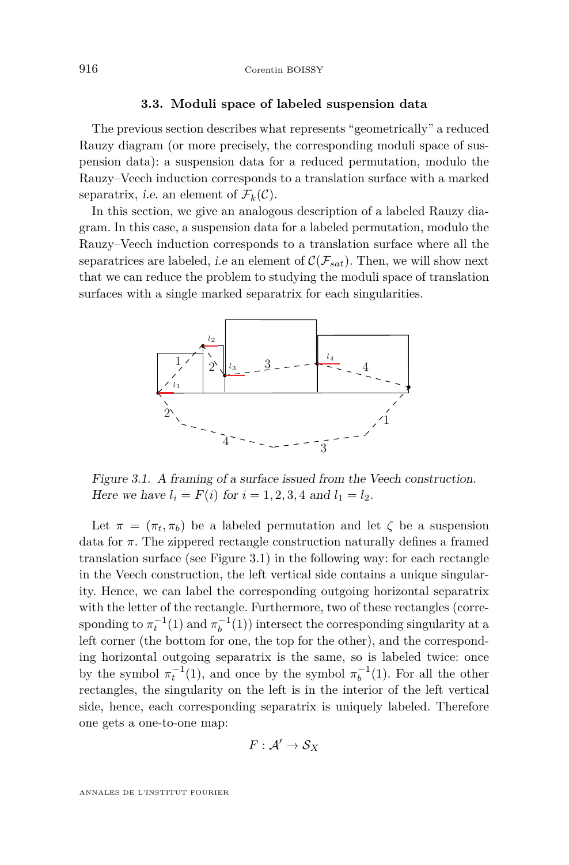### **3.3. Moduli space of labeled suspension data 3.3. Moduli space of labeled suspension data**

The previous section describes what represents "geometrically" a reduced The previous section describes what represents "geometrically" a reduced Rauzy diagram (or more precisely, the corresponding moduli space of sus-Rauzy diagram (or more precisely, the corresponding moduli space of suspension data): a suspension data for a reduced permutation, modulo the pension data): a suspension data for a reduced permutation, modulo the Rauzy–Veech induction corresponds to a translation surface with a marked Rauzy–Veech induction corresponds to a translation surface with a marked separatrix, *i.e.* an element of  $\mathcal{F}_k(\mathcal{C})$ .

In this section, we give an analogous description of a labeled Rauzy dia-In this section, we give an analogous description of a labeled Rauzy diagram. In this case, a suspension data for a labeled permutation, modulo the gram. In this case, a suspension data for a labeled permutation, modulo the Rauzy–Veech induction corresponds to a translation surface where all the Rauzy–Veech induction corresponds to a translation surface where all the separatrices are labeled, *i.e* an element of  $C(\mathcal{F}_{sat})$ . Then, we will show next that we can reduce the problem to studying the moduli space of translation that we can reduce the problem to studying the moduli space of translation surfaces with a single marked separatrix for each singularities.



Figure 3.1. A framing of a surface issued from the Veech construction. Figure 3.1. A framing of a surface issued from the Veech construction. *Figure 3.1.* A *Hammig of a surface issued from the* Here we have  $l_i = F(i)$  for  $i = 1, 2, 3, 4$  and  $l_1 = l_2$ .

Let  $\pi = (\pi_t, \pi_b)$  be a labeled permutation and let  $\zeta$  be a suspension data for *π*. The zippered rectangle construction naturally defines a framed data for *π*. The zippered rectangle construction naturally defines a framed translation surface (see Figure 3.1) in the following way: for each rectangle translation surface (see Figure 3.1) in the following way: for each rectangle in the Veech construction, the left vertical side contains a unique singular-in the Veech construction, the left vertical side contains a unique singularity. Hence, we can label the corresponding outgoing horizontal separatrix ity. Hence, we can label the corresponding outgoing horizontal separatrix with the letter of the rectangle. Furthermore, two of these rectangles (corresponding to  $\pi_t^{-1}(1)$  and  $\pi_b^{-1}(1)$ ) intersect the corresponding singularity at a left corner (the bottom for one, the top for the other), and the corresponding horizontal outgoing separatrix is the same, so is labeled twice: once ing horizontal outgoing separatrix is the same, so is labeled twice: once by the symbol  $\pi_t^{-1}(1)$ , and once by the symbol  $\pi_b^{-1}(1)$ . For all the other  $r$ ectangles, the singularity on the left is in the interior of the left vertical side, hence, each corresponding separatrix is uniquely labeled. Therefore side, hence, each corresponding separatrix is uniquely labeled. Therefore one gets a one-to-one map: one gets a one-to-one map:

$$
F: \mathcal{A}' \to \mathcal{S}_X
$$

ANNALES DE L'INSTITUT FOURIER ANNALES DE L'INSTITUT FOURIER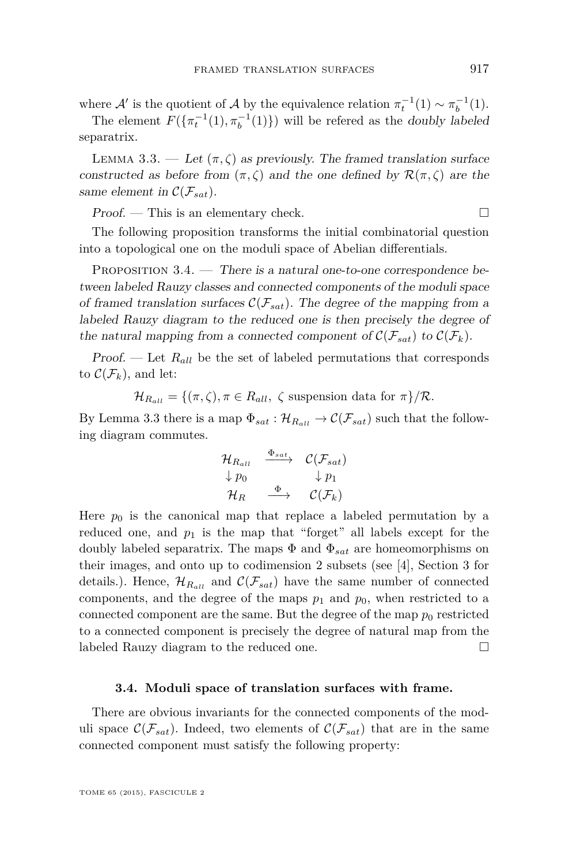<span id="page-13-0"></span>where  $\mathcal{A}'$  is the quotient of  $\mathcal{A}$  by the equivalence relation  $\pi_t^{-1}(1) \sim \pi_b^{-1}(1)$ .

The element  $F(\{\pi_t^{-1}(1), \pi_b^{-1}(1)\})$  will be refered as the doubly labeled separatrix.

LEMMA 3.3. — Let  $(\pi, \zeta)$  as previously. The framed translation surface constructed as before from  $(\pi, \zeta)$  and the one defined by  $\mathcal{R}(\pi, \zeta)$  are the same element in  $\mathcal{C}(\mathcal{F}_{sat})$ .

 $Proof.$  — This is an elementary check.  $\Box$ 

The following proposition transforms the initial combinatorial question into a topological one on the moduli space of Abelian differentials.

PROPOSITION  $3.4.$  — There is a natural one-to-one correspondence between labeled Rauzy classes and connected components of the moduli space of framed translation surfaces  $\mathcal{C}(\mathcal{F}_{sat})$ . The degree of the mapping from a labeled Rauzy diagram to the reduced one is then precisely the degree of the natural mapping from a connected component of  $\mathcal{C}(\mathcal{F}_{sat})$  to  $\mathcal{C}(\mathcal{F}_{k})$ .

Proof. — Let  $R_{all}$  be the set of labeled permutations that corresponds to  $\mathcal{C}(\mathcal{F}_k)$ , and let:

 $\mathcal{H}_{R_{all}} = \{(\pi, \zeta), \pi \in R_{all}, \zeta \text{ suspension data for } \pi\}/\mathcal{R}.$ 

By Lemma 3.3 there is a map  $\Phi_{sat} : \mathcal{H}_{R_{all}} \to \mathcal{C}(\mathcal{F}_{sat})$  such that the following diagram commutes.

$$
\begin{array}{ccc}\n\mathcal{H}_{R_{all}} & \xrightarrow{\Phi_{sat}} & \mathcal{C}(\mathcal{F}_{sat}) \\
\downarrow p_0 & & \downarrow p_1 \\
\mathcal{H}_R & \xrightarrow{\Phi} & \mathcal{C}(\mathcal{F}_k)\n\end{array}
$$

Here  $p_0$  is the canonical map that replace a labeled permutation by a reduced one, and  $p_1$  is the map that "forget" all labels except for the doubly labeled separatrix. The maps  $\Phi$  and  $\Phi_{sat}$  are homeomorphisms on their images, and onto up to codimension 2 subsets (see [\[4\]](#page-27-0), Section 3 for details.). Hence,  $\mathcal{H}_{R_{all}}$  and  $\mathcal{C}(\mathcal{F}_{sat})$  have the same number of connected components, and the degree of the maps  $p_1$  and  $p_0$ , when restricted to a connected component are the same. But the degree of the map  $p_0$  restricted to a connected component is precisely the degree of natural map from the labeled Rauzy diagram to the reduced one.

#### **3.4. Moduli space of translation surfaces with frame.**

There are obvious invariants for the connected components of the moduli space  $\mathcal{C}(\mathcal{F}_{sat})$ . Indeed, two elements of  $\mathcal{C}(\mathcal{F}_{sat})$  that are in the same connected component must satisfy the following property: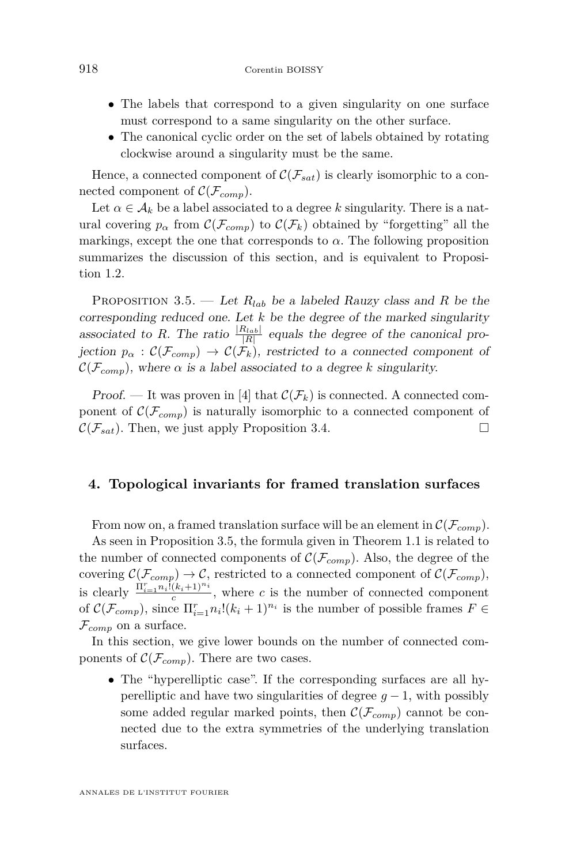- <span id="page-14-0"></span>• The labels that correspond to a given singularity on one surface must correspond to a same singularity on the other surface.
- The canonical cyclic order on the set of labels obtained by rotating clockwise around a singularity must be the same.

Hence, a connected component of  $C(\mathcal{F}_{sat})$  is clearly isomorphic to a connected component of  $\mathcal{C}(\mathcal{F}_{comp})$ .

Let  $\alpha \in A_k$  be a label associated to a degree k singularity. There is a natural covering  $p_\alpha$  from  $\mathcal{C}(\mathcal{F}_{conn})$  to  $\mathcal{C}(\mathcal{F}_k)$  obtained by "forgetting" all the markings, except the one that corresponds to  $\alpha$ . The following proposition summarizes the discussion of this section, and is equivalent to Proposition [1.2.](#page-3-0)

PROPOSITION 3.5. — Let  $R_{lab}$  be a labeled Rauzy class and R be the corresponding reduced one. Let *k* be the degree of the marked singularity associated to *R*. The ratio  $\frac{|R_{lab}|}{|R|}$  equals the degree of the canonical projection  $p_{\alpha}: \mathcal{C}(\mathcal{F}_{comp}) \to \mathcal{C}(\mathcal{F}_{k}),$  restricted to a connected component of  $\mathcal{C}(\mathcal{F}_{conn})$ , where  $\alpha$  is a label associated to a degree *k* singularity.

Proof. — It was proven in [\[4\]](#page-27-0) that  $\mathcal{C}(\mathcal{F}_k)$  is connected. A connected component of  $\mathcal{C}(\mathcal{F}_{comp})$  is naturally isomorphic to a connected component of  $\mathcal{C}(\mathcal{F}_{sat})$ . Then, we just apply Proposition 3.4.  $\mathcal{C}(\mathcal{F}_{sat})$ . Then, we just apply Proposition [3.4.](#page-13-0)

#### **4. Topological invariants for framed translation surfaces**

From now on, a framed translation surface will be an element in  $\mathcal{C}(\mathcal{F}_{comp})$ .

As seen in Proposition 3.5, the formula given in Theorem [1.1](#page-2-0) is related to the number of connected components of  $\mathcal{C}(\mathcal{F}_{comp})$ . Also, the degree of the covering  $\mathcal{C}(\mathcal{F}_{comp}) \to \mathcal{C}$ , restricted to a connected component of  $\mathcal{C}(\mathcal{F}_{comp})$ , is clearly  $\frac{\Pi_{i=1}^r n_i \bar{l}(k_i+1)^{n_i}}{c}$ , where *c* is the number of connected component of  $C(\mathcal{F}_{comp})$ , since  $\Pi_{i=1}^{r}n_i!(k_i+1)^{n_i}$  is the number of possible frames  $F \in$  $\mathcal{F}_{comp}$  on a surface.

In this section, we give lower bounds on the number of connected components of  $\mathcal{C}(\mathcal{F}_{comp})$ . There are two cases.

• The "hyperelliptic case". If the corresponding surfaces are all hyperelliptic and have two singularities of degree  $q-1$ , with possibly some added regular marked points, then  $\mathcal{C}(\mathcal{F}_{comp})$  cannot be connected due to the extra symmetries of the underlying translation surfaces.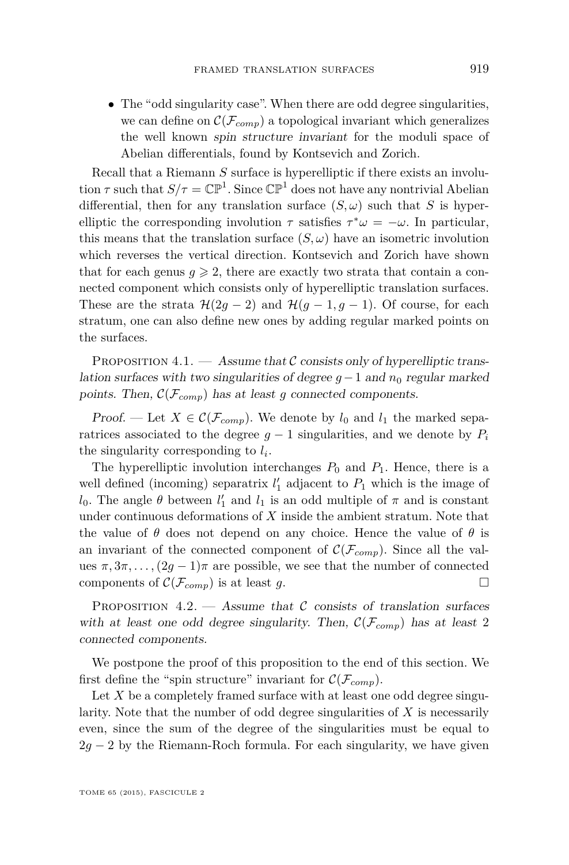<span id="page-15-0"></span>• The "odd singularity case". When there are odd degree singularities, we can define on  $\mathcal{C}(\mathcal{F}_{comp})$  a topological invariant which generalizes the well known spin structure invariant for the moduli space of Abelian differentials, found by Kontsevich and Zorich.

Recall that a Riemann *S* surface is hyperelliptic if there exists an involution  $\tau$  such that  $S/\tau = \mathbb{CP}^1$ . Since  $\mathbb{CP}^1$  does not have any nontrivial Abelian differential, then for any translation surface  $(S, \omega)$  such that *S* is hyperelliptic the corresponding involution  $\tau$  satisfies  $\tau^* \omega = -\omega$ . In particular, this means that the translation surface  $(S, \omega)$  have an isometric involution which reverses the vertical direction. Kontsevich and Zorich have shown that for each genus  $q \ge 2$ , there are exactly two strata that contain a connected component which consists only of hyperelliptic translation surfaces. These are the strata  $\mathcal{H}(2g-2)$  and  $\mathcal{H}(g-1,g-1)$ . Of course, for each stratum, one can also define new ones by adding regular marked points on the surfaces.

PROPOSITION 4.1. — Assume that  $\mathcal C$  consists only of hyperelliptic translation surfaces with two singularities of degree  $g - 1$  and  $n_0$  regular marked points. Then,  $\mathcal{C}(\mathcal{F}_{comp})$  has at least *g* connected components.

Proof. — Let  $X \in \mathcal{C}(\mathcal{F}_{comp})$ . We denote by  $l_0$  and  $l_1$  the marked separatrices associated to the degree  $q-1$  singularities, and we denote by  $P_i$ the singularity corresponding to *l<sup>i</sup>* .

The hyperelliptic involution interchanges  $P_0$  and  $P_1$ . Hence, there is a well defined (incoming) separatrix  $l'_1$  adjacent to  $P_1$  which is the image of *l*<sub>0</sub>. The angle  $\theta$  between *l*<sub>1</sub><sup>'</sup> and *l*<sub>1</sub> is an odd multiple of  $\pi$  and is constant under continuous deformations of *X* inside the ambient stratum. Note that the value of  $\theta$  does not depend on any choice. Hence the value of  $\theta$  is an invariant of the connected component of  $\mathcal{C}(\mathcal{F}_{comp})$ . Since all the values  $\pi, 3\pi, \ldots, (2g-1)\pi$  are possible, we see that the number of connected components of  $\mathcal{C}(\mathcal{F}_{\text{comm}})$  is at least  $g$ . components of  $\mathcal{C}(\mathcal{F}_{comp})$  is at least *g*.

PROPOSITION  $4.2.$  — Assume that C consists of translation surfaces with at least one odd degree singularity. Then,  $\mathcal{C}(\mathcal{F}_{comp})$  has at least 2 connected components.

We postpone the proof of this proposition to the end of this section. We first define the "spin structure" invariant for  $\mathcal{C}(\mathcal{F}_{conn})$ .

Let X be a completely framed surface with at least one odd degree singularity. Note that the number of odd degree singularities of *X* is necessarily even, since the sum of the degree of the singularities must be equal to  $2g - 2$  by the Riemann-Roch formula. For each singularity, we have given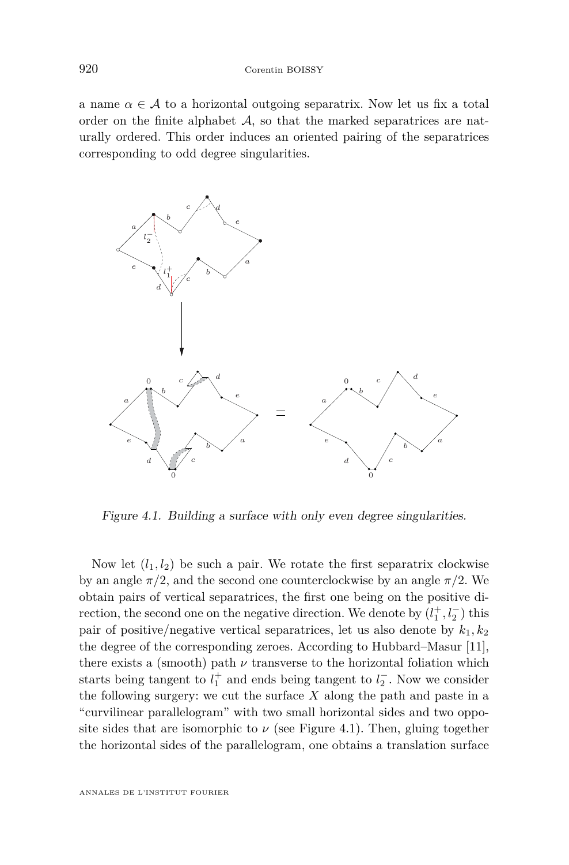<span id="page-16-0"></span>a name  $\alpha \in \mathcal{A}$  to a horizontal outgoing separatrix. Now let us fix a total order on the finite alphabet A, so that the marked separatrices are nat-<br>and  $\alpha$  and  $\alpha$  and  $\alpha$  and  $\alpha$  to a total outgoing separatrices are noturally ordered. This order induces an oriented pairing of the separatrices corresponding to odd degree singularities.



Figure 4.1. Building a surface with only even degree singularities.

Now let  $(l_1, l_2)$  be such a pair. We rotate the first separatrix clockwise by an angle  $\pi/2$ , and the second one counterclockwise by an angle  $\pi/2$ . We obtain pairs of vertical separatrices, the first one being on the positive direction, the second one on the negative direction. We denote by  $(l_1^+, l_2^-)$  this pair of positive/negative vertical separatrices, let us also denote by  $k_1, k_2$ the degree of the corresponding zeroes. According to Hubbard–Masur [\[11\]](#page-27-0), there exists a (smooth) path  $\nu$  transverse to the horizontal foliation which starts being tangent to  $l_1^+$  and ends being tangent to  $l_2^-$ . Now we consider the following surgery: we cut the surface  $X$  along the path and paste in a "curvilinear parallelogram" with two small horizontal sides and two opposite sides that are isomorphic to  $\nu$  (see Figure 4.1). Then, gluing together the horizontal sides of the parallelogram, one obtains a translation surface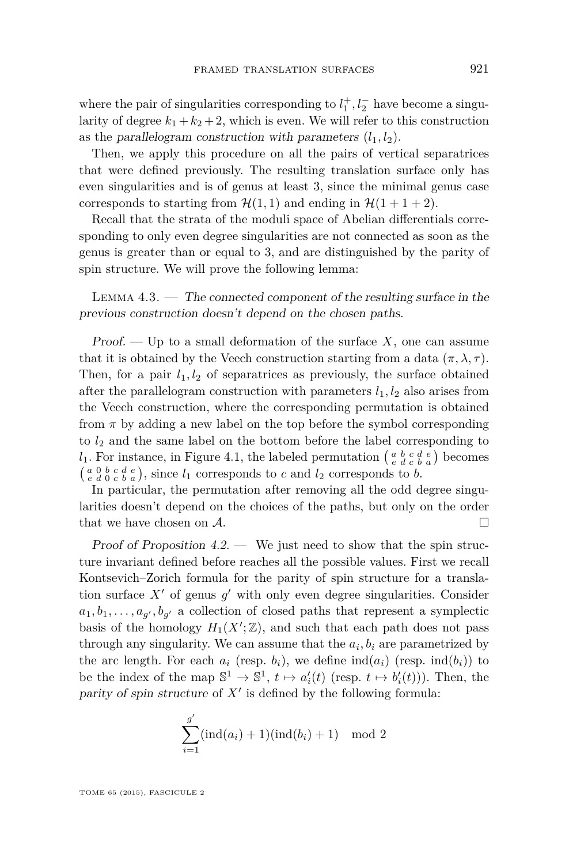where the pair of singularities corresponding to  $l_1^+, l_2^-$  have become a singularity of degree  $k_1 + k_2 + 2$ , which is even. We will refer to this construction as the parallelogram construction with parameters  $(l_1, l_2)$ .

Then, we apply this procedure on all the pairs of vertical separatrices that were defined previously. The resulting translation surface only has even singularities and is of genus at least 3, since the minimal genus case corresponds to starting from  $\mathcal{H}(1,1)$  and ending in  $\mathcal{H}(1+1+2)$ .

Recall that the strata of the moduli space of Abelian differentials corresponding to only even degree singularities are not connected as soon as the genus is greater than or equal to 3, and are distinguished by the parity of spin structure. We will prove the following lemma:

LEMMA  $4.3.$  — The connected component of the resulting surface in the previous construction doesn't depend on the chosen paths.

Proof. — Up to a small deformation of the surface *X*, one can assume that it is obtained by the Veech construction starting from a data  $(\pi, \lambda, \tau)$ . Then, for a pair  $l_1, l_2$  of separatrices as previously, the surface obtained after the parallelogram construction with parameters  $l_1, l_2$  also arises from the Veech construction, where the corresponding permutation is obtained from  $\pi$  by adding a new label on the top before the symbol corresponding to *l*<sup>2</sup> and the same label on the bottom before the label corresponding to  $l_1$ . For instance, in Figure [4.1,](#page-16-0) the labeled permutation  $\begin{pmatrix} a & b & c & d & e \\ e & d & c & b & a \end{pmatrix}$  becomes  $\begin{pmatrix} a & 0 & b & c & d & e \\ e & d & 0 & c & b & a \end{pmatrix}$ , since  $l_1$  corresponds to *c* and  $l_2$  corresponds to *b*.

In particular, the permutation after removing all the odd degree singularities doesn't depend on the choices of the paths, but only on the order that we have chosen on  $\mathcal{A}$ .

Proof of Proposition  $4.2$ . — We just need to show that the spin structure invariant defined before reaches all the possible values. First we recall Kontsevich–Zorich formula for the parity of spin structure for a translation surface  $X'$  of genus  $g'$  with only even degree singularities. Consider  $a_1, b_1, \ldots, a_{g'}, b_{g'}$  a collection of closed paths that represent a symplectic basis of the homology  $H_1(X';\mathbb{Z})$ , and such that each path does not pass through any singularity. We can assume that the  $a_i, b_i$  are parametrized by the arc length. For each  $a_i$  (resp.  $b_i$ ), we define  $\text{ind}(a_i)$  (resp.  $\text{ind}(b_i)$ ) to be the index of the map  $\mathbb{S}^1 \to \mathbb{S}^1$ ,  $t \mapsto a'_i(t)$  (resp.  $t \mapsto b'_i(t)$ )). Then, the parity of spin structure of  $X'$  is defined by the following formula:

$$
\sum_{i=1}^{g'} (ind(a_i) + 1)(ind(b_i) + 1) \mod 2
$$

TOME 65 (2015), FASCICULE 2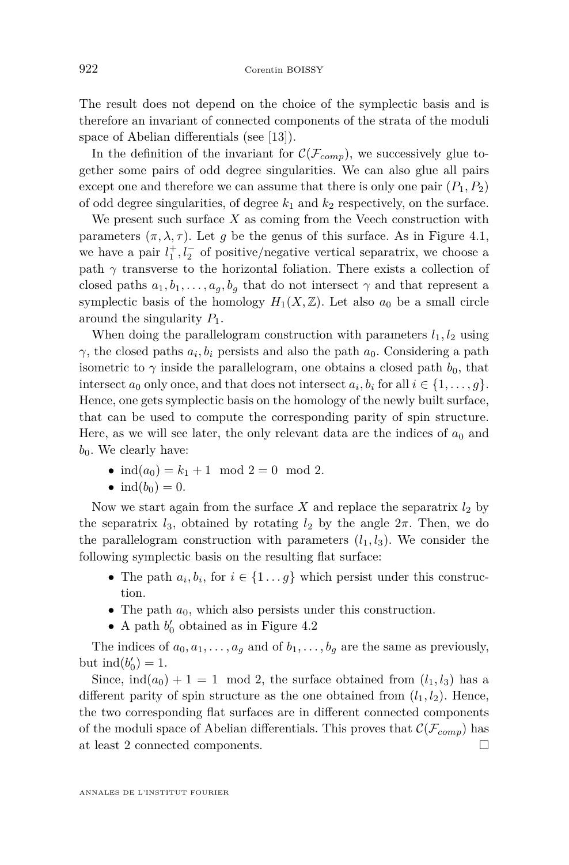The result does not depend on the choice of the symplectic basis and is therefore an invariant of connected components of the strata of the moduli space of Abelian differentials (see [\[13\]](#page-27-0)).

In the definition of the invariant for  $\mathcal{C}(\mathcal{F}_{comp})$ , we successively glue together some pairs of odd degree singularities. We can also glue all pairs except one and therefore we can assume that there is only one pair  $(P_1, P_2)$ of odd degree singularities, of degree  $k_1$  and  $k_2$  respectively, on the surface.

We present such surface *X* as coming from the Veech construction with parameters  $(\pi, \lambda, \tau)$ . Let *g* be the genus of this surface. As in Figure [4.1,](#page-16-0) we have a pair  $l_1^+, l_2^-$  of positive/negative vertical separatrix, we choose a path  $\gamma$  transverse to the horizontal foliation. There exists a collection of closed paths  $a_1, b_1, \ldots, a_g, b_g$  that do not intersect  $\gamma$  and that represent a symplectic basis of the homology  $H_1(X, \mathbb{Z})$ . Let also  $a_0$  be a small circle around the singularity *P*1.

When doing the parallelogram construction with parameters  $l_1, l_2$  using *γ*, the closed paths  $a_i, b_i$  persists and also the path  $a_0$ . Considering a path isometric to  $\gamma$  inside the parallelogram, one obtains a closed path  $b_0$ , that intersect  $a_0$  only once, and that does not intersect  $a_i, b_i$  for all  $i \in \{1, \ldots, g\}$ . Hence, one gets symplectic basis on the homology of the newly built surface, that can be used to compute the corresponding parity of spin structure. Here, as we will see later, the only relevant data are the indices of  $a_0$  and  $b_0$ . We clearly have:

- $ind(a_0) = k_1 + 1 \mod 2 = 0 \mod 2$ .
- $ind(b_0) = 0$ .

Now we start again from the surface  $X$  and replace the separatrix  $l_2$  by the separatrix  $l_3$ , obtained by rotating  $l_2$  by the angle  $2\pi$ . Then, we do the parallelogram construction with parameters  $(l_1, l_3)$ . We consider the following symplectic basis on the resulting flat surface:

- The path  $a_i, b_i$ , for  $i \in \{1 \dots g\}$  which persist under this construction.
- The path  $a_0$ , which also persists under this construction.
- A path  $b'_0$  obtained as in Figure [4.2](#page-19-0)

The indices of  $a_0, a_1, \ldots, a_g$  and of  $b_1, \ldots, b_g$  are the same as previously, but  $\text{ind}(b'_0) = 1$ .

Since,  $\text{ind}(a_0) + 1 = 1 \mod 2$ , the surface obtained from  $(l_1, l_3)$  has a different parity of spin structure as the one obtained from  $(l_1, l_2)$ . Hence, the two corresponding flat surfaces are in different connected components of the moduli space of Abelian differentials. This proves that  $\mathcal{C}(\mathcal{F}_{comp})$  has at least 2 connected components.  $\Box$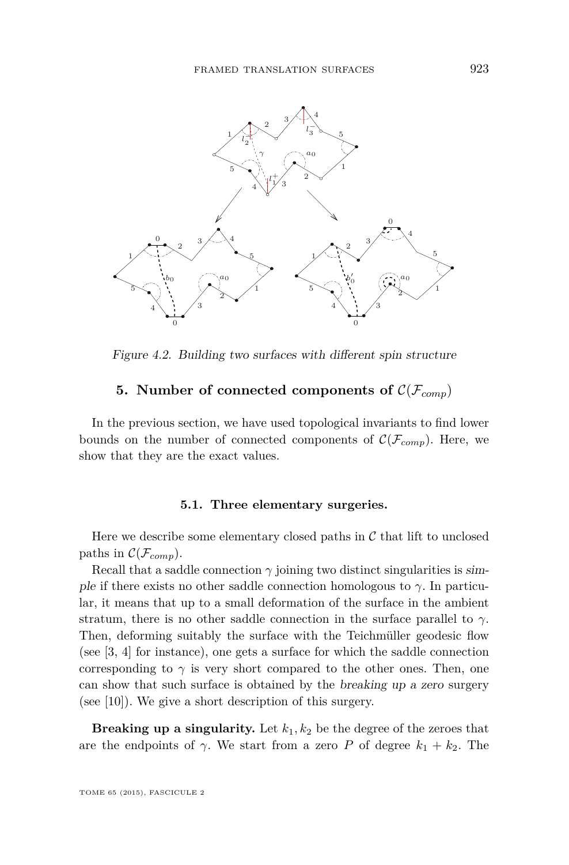<span id="page-19-0"></span>

Figure 4.2. Building two surfaces with different spin structure Figure 4.2. Building two surfaces with different spin structure

## $\textbf{5.} \enskip \textbf{Number of connected components of } \mathcal{C}(\mathcal{F}_{comp})$

bounds on the number of connected components of  $\mathcal{C}(\mathcal{F}_{comp})$ . Here, we In the previous section, we have used topological invariants to find lower show that they are the exact values.

#### **5.1. Three elementary surgeries.**

Here we describe some elementary closed paths in  $\mathcal C$  that lift to unclosed paths in  $\mathcal{C}(\mathcal{F}_{comp})$ .

Recall that a saddle connection  $\gamma$  joining two distinct singularities is simple if there exists no other saddle connection homologous to  $\gamma$ . In particular, it means that up to a small deformation of the surface in the ambient stratum, there is no other saddle connection in the surface parallel to  $\gamma$ . Then, deforming suitably the surface with the Teichmüller geodesic flow (see [\[3,](#page-27-0) [4\]](#page-27-0) for instance), one gets a surface for which the saddle connection corresponding to  $\gamma$  is very short compared to the other ones. Then, one can show that such surface is obtained by the breaking up a zero surgery (see [\[10\]](#page-27-0)). We give a short description of this surgery.

**Breaking up a singularity.** Let  $k_1, k_2$  be the degree of the zeroes that are the endpoints of  $\gamma$ . We start from a zero *P* of degree  $k_1 + k_2$ . The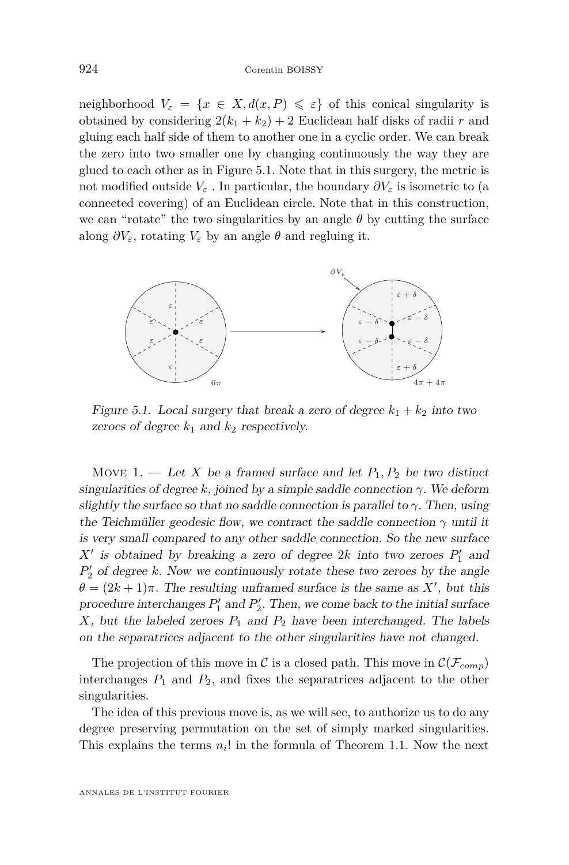<span id="page-20-0"></span>neighborhood  $V_{\varepsilon} = \{x \in X, d(x, P) \leq \varepsilon\}$  of this conical singularity is obtained by considering  $2(k_1 + k_2) + 2$  Euclidean half disks of radii *r* and gluing each half side of them to another one in a cyclic order. We can break the zero into two smaller one by changing continuously the way they are glued to each other as in Figure 5.1. Note that in this surgery, the metric is not modified outside  $V_{\varepsilon}$  . In particular, the boundary  $\partial V_{\varepsilon}$  is isometric to (a connected covering) of an Euclidean circle. Note that in this construction, we can "rotate" the two singularities by an angle  $\theta$  by cutting the surface along  $\partial V_{\varepsilon}$ , rotating  $V_{\varepsilon}$  by an angle  $\theta$  and regluing it. along *∂Vε*, rotating *V<sup>ε</sup>* by an angle *θ* and regluing it.



Figure 5.1. Local surgery that break a zero of degree  $k_1 + k_2$  into two zeroes of degree  $k_1$  and  $k_2$  respectively.

Move 1. — Let *X* be a framed surface and let  $P_1, P_2$  be two distinct singularities of degree *k*, joined by a simple saddle connection *γ*. We deform singularities of degree *k*, joined by a simple saddle connection *γ*. We deform slightly the surface so that no saddle connection is parallel to *γ*. Then, using slightly the surface so that no saddle connection is parallel to *γ*. Then, using the Teichmüller geodesic flow, we contract the saddle connection  $\gamma$  until it is very small compared to any other saddle connection. So the new surface  $X'$  is obtained by breaking a zero of degree 2*k* into two zeroes  $P'_1$  and  $P'_{2}$  of degree  $k$ . Now we continuously rotate these two zeroes by the angle  $\theta = (2k+1)\pi$ . The resulting unframed surface is the same as *X*<sup>*i*</sup>, but this procedure interchanges  $P'_1$  and  $P'_2$ . Then, we come back to the initial surface  $X$ , but the labeled zeroes  $P_1$  and  $P_2$  have been interchanged. The labels on the separatrices adjacent to the other singularities have not changed.

The projection of this move in  $\mathcal C$  is a closed path. This move in  $\mathcal C(\mathcal F_{comp})$ interchanges  $P_1$  and  $P_2$ , and fixes the separatrices adjacent to the other singularities. singularities.

The idea of this previous move is, as we will see, to authorize us to do any The idea of this previous move is, as we will see, to authorize us to do any degree preserving permutation on the set of simply marked singularities. degree preserving permutation on the set of simply marked singularities. This explains the terms  $n_i!$  in the formula of Theorem [1.1.](#page-2-0) Now the next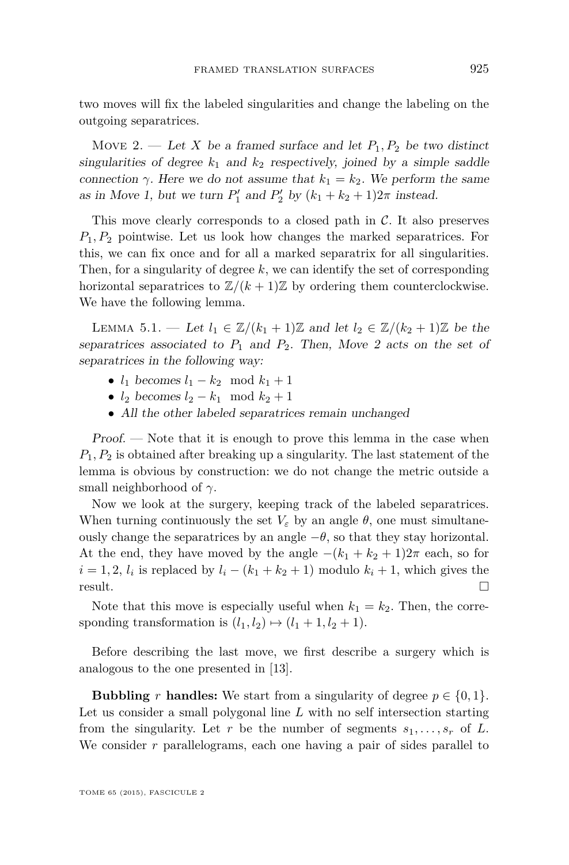<span id="page-21-0"></span>two moves will fix the labeled singularities and change the labeling on the outgoing separatrices.

Move 2. — Let X be a framed surface and let  $P_1, P_2$  be two distinct singularities of degree  $k_1$  and  $k_2$  respectively, joined by a simple saddle connection  $\gamma$ . Here we do not assume that  $k_1 = k_2$ . We perform the same as in Move [1,](#page-20-0) but we turn  $P'_1$  and  $P'_2$  by  $(k_1 + k_2 + 1)2\pi$  instead.

This move clearly corresponds to a closed path in  $\mathcal{C}$ . It also preserves *P*1*, P*<sup>2</sup> pointwise. Let us look how changes the marked separatrices. For this, we can fix once and for all a marked separatrix for all singularities. Then, for a singularity of degree *k*, we can identify the set of corresponding horizontal separatrices to  $\mathbb{Z}/(k+1)\mathbb{Z}$  by ordering them counterclockwise. We have the following lemma.

LEMMA 5.1. — Let  $l_1 \text{ ∈ } \mathbb{Z}/(k_1 + 1)\mathbb{Z}$  and let  $l_2 \text{ ∈ } \mathbb{Z}/(k_2 + 1)\mathbb{Z}$  be the separatrices associated to  $P_1$  and  $P_2$ . Then, Move 2 acts on the set of separatrices in the following way:

- $l_1$  becomes  $l_1 k_2 \mod k_1 + 1$
- $l_2$  becomes  $l_2 k_1 \mod k_2 + 1$
- All the other labeled separatrices remain unchanged

Proof. — Note that it is enough to prove this lemma in the case when *P*1*, P*<sup>2</sup> is obtained after breaking up a singularity. The last statement of the lemma is obvious by construction: we do not change the metric outside a small neighborhood of *γ*.

Now we look at the surgery, keeping track of the labeled separatrices. When turning continuously the set  $V_{\varepsilon}$  by an angle  $\theta$ , one must simultaneously change the separatrices by an angle  $-\theta$ , so that they stay horizontal. At the end, they have moved by the angle  $-(k_1 + k_2 + 1)2\pi$  each, so for  $i = 1, 2, l_i$  is replaced by  $l_i - (k_1 + k_2 + 1)$  modulo  $k_i + 1$ , which gives the result.

Note that this move is especially useful when  $k_1 = k_2$ . Then, the corresponding transformation is  $(l_1, l_2) \mapsto (l_1 + 1, l_2 + 1)$ .

Before describing the last move, we first describe a surgery which is analogous to the one presented in [\[13\]](#page-27-0).

**Bubbling** *r* **handles:** We start from a singularity of degree  $p \in \{0, 1\}$ . Let us consider a small polygonal line *L* with no self intersection starting from the singularity. Let r be the number of segments  $s_1, \ldots, s_r$  of L. We consider *r* parallelograms, each one having a pair of sides parallel to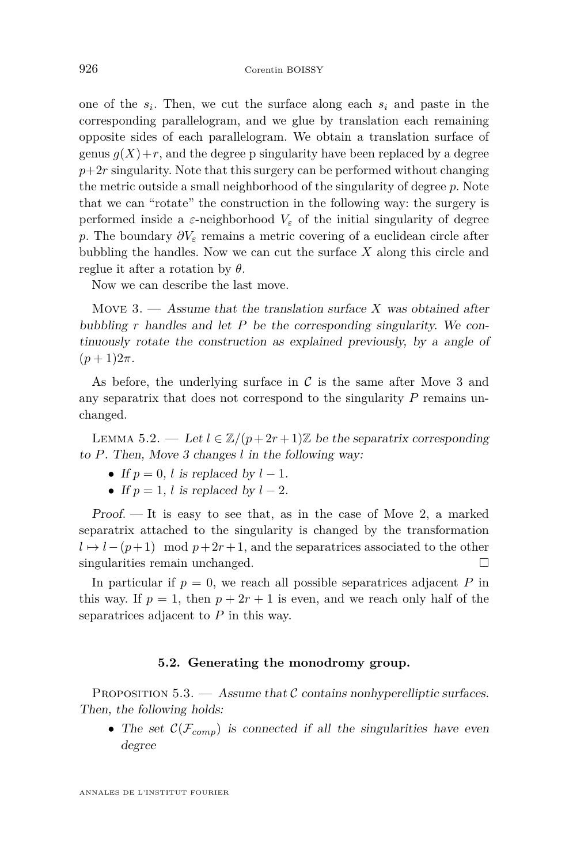<span id="page-22-0"></span>one of the *s<sup>i</sup>* . Then, we cut the surface along each *s<sup>i</sup>* and paste in the corresponding parallelogram, and we glue by translation each remaining opposite sides of each parallelogram. We obtain a translation surface of genus  $q(X) + r$ , and the degree p singularity have been replaced by a degree  $p+2r$  singularity. Note that this surgery can be performed without changing the metric outside a small neighborhood of the singularity of degree *p*. Note that we can "rotate" the construction in the following way: the surgery is performed inside a  $\varepsilon$ -neighborhood  $V_{\varepsilon}$  of the initial singularity of degree *p*. The boundary  $\partial V_{\varepsilon}$  remains a metric covering of a euclidean circle after bubbling the handles. Now we can cut the surface *X* along this circle and reglue it after a rotation by *θ*.

Now we can describe the last move.

Move 3. — Assume that the translation surface *X* was obtained after bubbling *r* handles and let *P* be the corresponding singularity. We continuously rotate the construction as explained previously, by a angle of  $(p+1)2\pi$ .

As before, the underlying surface in  $\mathcal C$  is the same after Move 3 and any separatrix that does not correspond to the singularity *P* remains unchanged.

LEMMA 5.2. — Let  $l \in \mathbb{Z}/(p+2r+1)\mathbb{Z}$  be the separatrix corresponding to *P*. Then, Move 3 changes *l* in the following way:

- If  $p = 0$ , *l* is replaced by  $l 1$ .
- If  $p = 1$ , *l* is replaced by  $l 2$ .

 $Proof.$  — It is easy to see that, as in the case of Move [2,](#page-21-0) a marked separatrix attached to the singularity is changed by the transformation  $l \mapsto l - (p+1) \mod p + 2r + 1$ , and the separatrices associated to the other singularities remain unchanged.

In particular if  $p = 0$ , we reach all possible separatrices adjacent  $P$  in this way. If  $p = 1$ , then  $p + 2r + 1$  is even, and we reach only half of the separatrices adjacent to *P* in this way.

#### **5.2. Generating the monodromy group.**

PROPOSITION  $5.3.$  — Assume that C contains nonhyperelliptic surfaces. Then, the following holds:

• The set  $\mathcal{C}(\mathcal{F}_{conn})$  is connected if all the singularities have even degree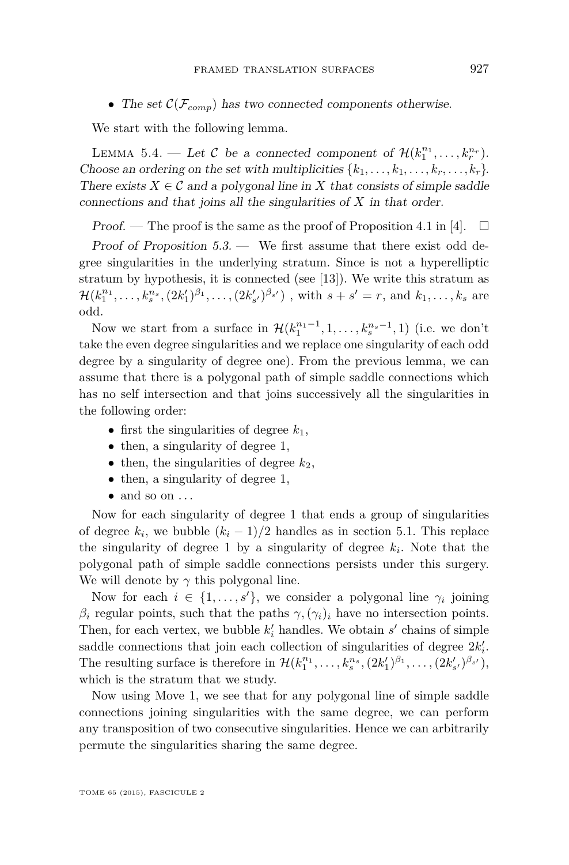• The set  $\mathcal{C}(\mathcal{F}_{comp})$  has two connected components otherwise.

We start with the following lemma.

LEMMA 5.4. — Let C be a connected component of  $\mathcal{H}(k_1^{n_1}, \ldots, k_r^{n_r})$ . Choose an ordering on the set with multiplicities  $\{k_1, \ldots, k_1, \ldots, k_r, \ldots, k_r\}$ . There exists  $X \in \mathcal{C}$  and a polygonal line in X that consists of simple saddle connections and that joins all the singularities of *X* in that order.

Proof. — The proof is the same as the proof of Proposition 4.1 in [\[4\]](#page-27-0).  $\Box$ 

Proof of Proposition [5.3.](#page-22-0) — We first assume that there exist odd degree singularities in the underlying stratum. Since is not a hyperelliptic stratum by hypothesis, it is connected (see [\[13\]](#page-27-0)). We write this stratum as  $\mathcal{H}(k_1^{n_1},\ldots,k_s^{n_s},(2k'_1)^{\beta_1},\ldots,(2k'_{s'})^{\beta_{s'}})$ , with  $s+s'=r$ , and  $k_1,\ldots,k_s$  are odd.

Now we start from a surface in  $\mathcal{H}(k_1^{n_1-1}, 1, ..., k_s^{n_s-1}, 1)$  (i.e. we don't take the even degree singularities and we replace one singularity of each odd degree by a singularity of degree one). From the previous lemma, we can assume that there is a polygonal path of simple saddle connections which has no self intersection and that joins successively all the singularities in the following order:

- first the singularities of degree  $k_1$ ,
- then, a singularity of degree 1,
- $\bullet$  then, the singularities of degree  $k_2$ ,
- then, a singularity of degree 1,
- $\bullet$  and so on  $\dots$

Now for each singularity of degree 1 that ends a group of singularities of degree  $k_i$ , we bubble  $(k_i - 1)/2$  handles as in section [5.1.](#page-21-0) This replace the singularity of degree 1 by a singularity of degree  $k_i$ . Note that the polygonal path of simple saddle connections persists under this surgery. We will denote by  $\gamma$  this polygonal line.

Now for each  $i \in \{1, \ldots, s'\}$ , we consider a polygonal line  $\gamma_i$  joining *β*<sup>*i*</sup> regular points, such that the paths  $γ$ ,  $(γ<sub>i</sub>)<sub>i</sub>$  have no intersection points. Then, for each vertex, we bubble  $k'_{i}$  handles. We obtain  $s'$  chains of simple saddle connections that join each collection of singularities of degree  $2k_i'$ . The resulting surface is therefore in  $\mathcal{H}(k_1^{n_1}, \ldots, k_s^{n_s}, (2k'_1)^{\beta_1}, \ldots, (2k'_{s'})^{\beta_{s'}}),$ which is the stratum that we study.

Now using Move 1, we see that for any polygonal line of simple saddle connections joining singularities with the same degree, we can perform any transposition of two consecutive singularities. Hence we can arbitrarily permute the singularities sharing the same degree.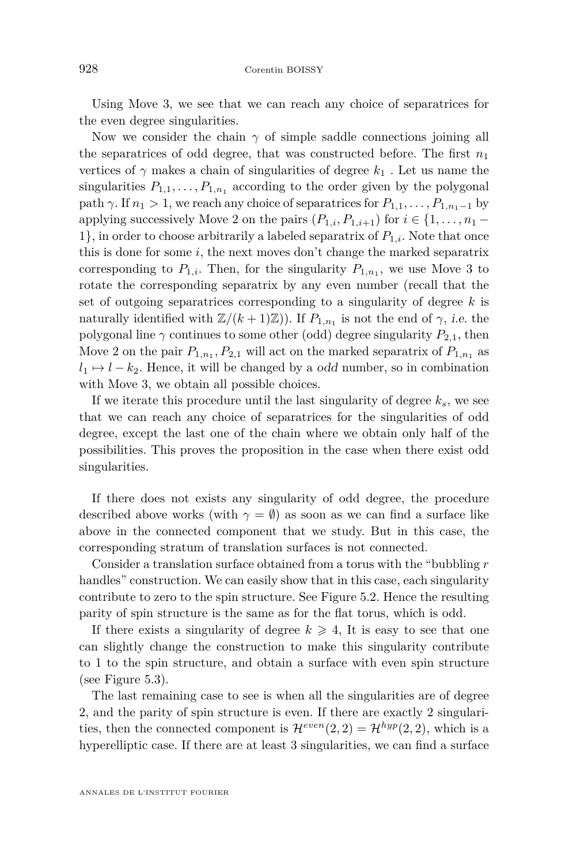Using Move 3, we see that we can reach any choice of separatrices for the even degree singularities.

Now we consider the chain  $\gamma$  of simple saddle connections joining all the separatrices of odd degree, that was constructed before. The first  $n_1$ vertices of  $\gamma$  makes a chain of singularities of degree  $k_1$ . Let us name the singularities  $P_{1,1}, \ldots, P_{1,n_1}$  according to the order given by the polygonal path  $\gamma$ . If  $n_1 > 1$ , we reach any choice of separatrices for  $P_{1,1}, \ldots, P_{1,n_1-1}$  by applying successively Move 2 on the pairs  $(P_{1,i}, P_{1,i+1})$  for  $i \in \{1, \ldots, n_1 -$ 1}, in order to choose arbitrarily a labeled separatrix of  $P_{1,i}$ . Note that once this is done for some *i*, the next moves don't change the marked separatrix corresponding to  $P_{1,i}$ . Then, for the singularity  $P_{1,n_1}$ , we use Move 3 to rotate the corresponding separatrix by any even number (recall that the set of outgoing separatrices corresponding to a singularity of degree *k* is naturally identified with  $\mathbb{Z}/(k+1)\mathbb{Z}$ ). If  $P_{1,n_1}$  is not the end of  $\gamma$ , *i.e.* the polygonal line  $\gamma$  continues to some other (odd) degree singularity  $P_{2,1}$ , then Move 2 on the pair  $P_{1,n_1}, P_{2,1}$  will act on the marked separatrix of  $P_{1,n_1}$  as  $l_1 \mapsto l - k_2$ . Hence, it will be changed by a *odd* number, so in combination with Move 3, we obtain all possible choices.

If we iterate this procedure until the last singularity of degree *ks*, we see that we can reach any choice of separatrices for the singularities of odd degree, except the last one of the chain where we obtain only half of the possibilities. This proves the proposition in the case when there exist odd singularities.

If there does not exists any singularity of odd degree, the procedure described above works (with  $\gamma = \emptyset$ ) as soon as we can find a surface like above in the connected component that we study. But in this case, the corresponding stratum of translation surfaces is not connected.

Consider a translation surface obtained from a torus with the "bubbling *r* handles" construction. We can easily show that in this case, each singularity contribute to zero to the spin structure. See Figure [5.2.](#page-25-0) Hence the resulting parity of spin structure is the same as for the flat torus, which is odd.

If there exists a singularity of degree  $k \geq 4$ , It is easy to see that one can slightly change the construction to make this singularity contribute to 1 to the spin structure, and obtain a surface with even spin structure (see Figure [5.3\)](#page-25-0).

The last remaining case to see is when all the singularities are of degree 2, and the parity of spin structure is even. If there are exactly 2 singularities, then the connected component is  $\mathcal{H}^{even}(2,2) = \mathcal{H}^{hyp}(2,2)$ , which is a hyperelliptic case. If there are at least 3 singularities, we can find a surface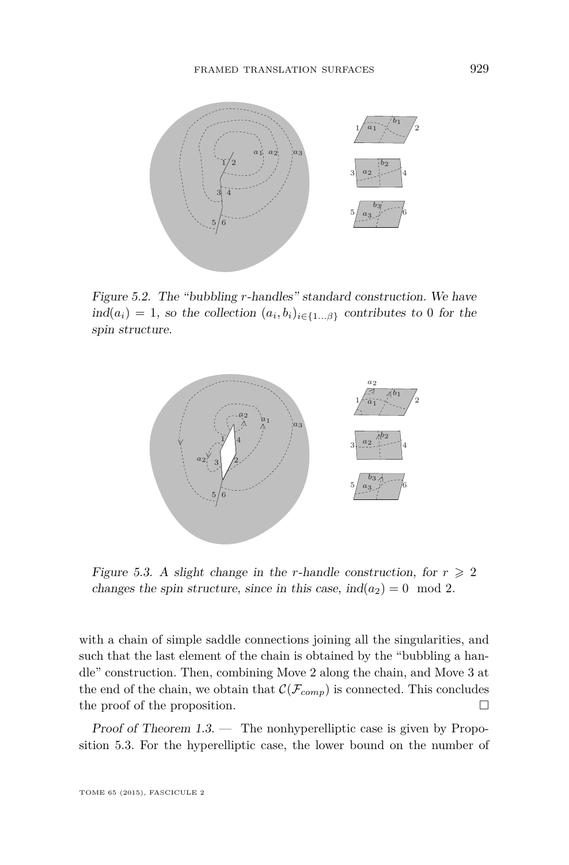<span id="page-25-0"></span>

Figure 5.2. The "bubbling *r*-handles" standard construction. We have Figure 5.2. The "bubbling *r*-handles" standard construction. We have Figure 5.2. The "bubbling *r*-handles" standard construction. We have  $ind(a_i) = 1$ , so the collection  $(a_i, b_i)_{i \in \{1...\beta\}}$  contributes to 0 for the spin structure. spin structure. spin structure.



Figure 5.3. A slight change in the r-handle construction, for  $r \ge 2$ changes the spin structure, since in this case,  $ind(a_2) = 0 \mod 2$ .

with a chain of simple saddle connections joining all the singularities, and such that the last element of the chain is obtained by the "bubbling a handle" construction. Then, combining Move 2 along the chain, and Move 3 at  $\sum_{i=1}^{\infty}$  and  $\sum_{i=1}^{\infty}$  and  $\sum_{i=1}^{\infty}$  $s_{\rm 1.3.}$  For the hyperelliptic case, the lower bound on the number of the number of  $\sim$ the end of the chain, we obtain that  $\mathcal{C}(\mathcal{F}_{comp})$  is connected. This concludes the proof of the proposition.  $\Box$ 

Proof of Theorem  $1.3$ . — The nonhyperelliptic case is given by Propo-sition [5.3.](#page-22-0) For the hyperelliptic case, the lower bound on the number of easy and left to the reader. The readers in the reader of the readers in the readers of the readers of the read<br>Easy and the readers in the readers of the readers in the readers of the readers of the readers of the readers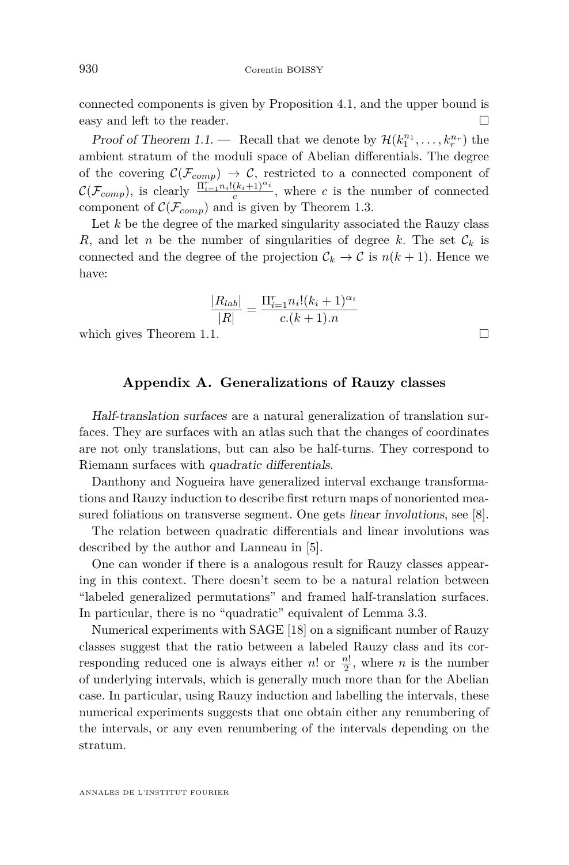connected components is given by Proposition [4.1,](#page-15-0) and the upper bound is easy and left to the reader.

Proof of Theorem [1.1.](#page-2-0) — Recall that we denote by  $\mathcal{H}(k_1^{n_1}, \ldots, k_r^{n_r})$  the ambient stratum of the moduli space of Abelian differentials. The degree of the covering  $\mathcal{C}(\mathcal{F}_{comp}) \rightarrow \mathcal{C}$ , restricted to a connected component of  $\mathcal{C}(\mathcal{F}_{comp})$ , is clearly  $\frac{\Pi_{i=1}^r n_i!(k_i+1)^{\alpha_i}}{c}$ , where *c* is the number of connected component of  $\mathcal{C}(\mathcal{F}_{conn})$  and is given by Theorem [1.3.](#page-3-0)

Let *k* be the degree of the marked singularity associated the Rauzy class *R*, and let *n* be the number of singularities of degree *k*. The set  $\mathcal{C}_k$  is connected and the degree of the projection  $\mathcal{C}_k \to \mathcal{C}$  is  $n(k+1)$ . Hence we have:

$$
\frac{|R_{lab}|}{|R|} = \frac{\Pi_{i=1}^{r} n_i! (k_i + 1)^{\alpha_i}}{c.(k+1).n}
$$

which gives Theorem [1.1.](#page-2-0)  $\Box$ 

#### **Appendix A. Generalizations of Rauzy classes**

Half-translation surfaces are a natural generalization of translation surfaces. They are surfaces with an atlas such that the changes of coordinates are not only translations, but can also be half-turns. They correspond to Riemann surfaces with quadratic differentials.

Danthony and Nogueira have generalized interval exchange transformations and Rauzy induction to describe first return maps of nonoriented measured foliations on transverse segment. One gets linear involutions, see [\[8\]](#page-27-0).

The relation between quadratic differentials and linear involutions was described by the author and Lanneau in [\[5\]](#page-27-0).

One can wonder if there is a analogous result for Rauzy classes appearing in this context. There doesn't seem to be a natural relation between "labeled generalized permutations" and framed half-translation surfaces. In particular, there is no "quadratic" equivalent of Lemma [3.3.](#page-13-0)

Numerical experiments with SAGE [\[18\]](#page-28-0) on a significant number of Rauzy classes suggest that the ratio between a labeled Rauzy class and its corresponding reduced one is always either  $n!$  or  $\frac{n!}{2}$ , where  $n$  is the number of underlying intervals, which is generally much more than for the Abelian case. In particular, using Rauzy induction and labelling the intervals, these numerical experiments suggests that one obtain either any renumbering of the intervals, or any even renumbering of the intervals depending on the stratum.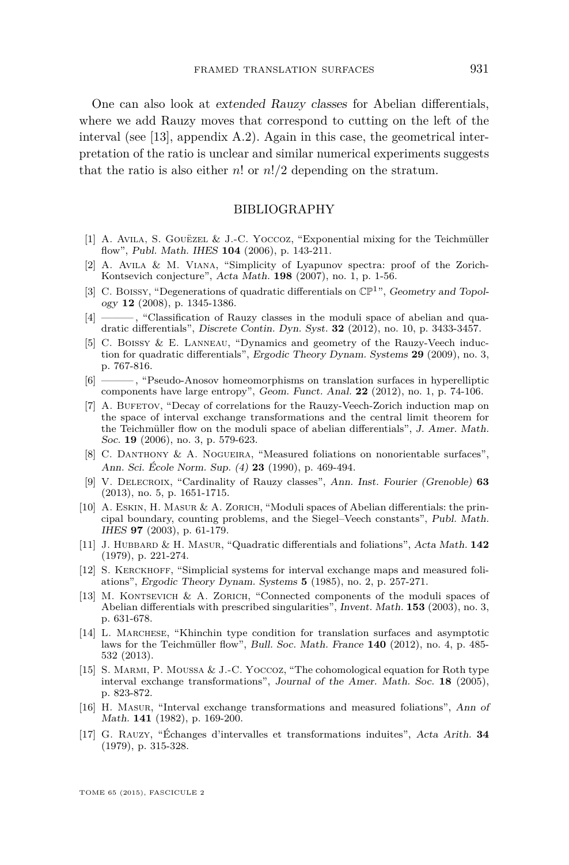<span id="page-27-0"></span>One can also look at extended Rauzy classes for Abelian differentials, where we add Rauzy moves that correspond to cutting on the left of the interval (see [13], appendix A.2). Again in this case, the geometrical interpretation of the ratio is unclear and similar numerical experiments suggests that the ratio is also either *n*! or *n*!*/*2 depending on the stratum.

#### BIBLIOGRAPHY

- [1] A. Avila, S. Gouëzel & J.-C. Yoccoz, "Exponential mixing for the Teichmüller flow", Publ. Math. IHES **104** (2006), p. 143-211.
- [2] A. Avila & M. Viana, "Simplicity of Lyapunov spectra: proof of the Zorich-Kontsevich conjecture", Acta Math. **198** (2007), no. 1, p. 1-56.
- [3] C. Boissy, "Degenerations of quadratic differentials on  $\mathbb{CP}^1$ ", Geometry and Topology **12** (2008), p. 1345-1386.
- [4] ——— , "Classification of Rauzy classes in the moduli space of abelian and quadratic differentials", Discrete Contin. Dyn. Syst. **32** (2012), no. 10, p. 3433-3457.
- [5] C. Boissy & E. Lanneau, "Dynamics and geometry of the Rauzy-Veech induction for quadratic differentials", Ergodic Theory Dynam. Systems **29** (2009), no. 3, p. 767-816.
- [6] ——— , "Pseudo-Anosov homeomorphisms on translation surfaces in hyperelliptic components have large entropy", Geom. Funct. Anal. **22** (2012), no. 1, p. 74-106.
- [7] A. BUFETOV, "Decay of correlations for the Rauzy-Veech-Zorich induction map on the space of interval exchange transformations and the central limit theorem for the Teichmüller flow on the moduli space of abelian differentials", J. Amer. Math. Soc. **19** (2006), no. 3, p. 579-623.
- [8] C. DANTHONY & A. NOGUEIRA, "Measured foliations on nonorientable surfaces", Ann. Sci. École Norm. Sup. (4) **23** (1990), p. 469-494.
- [9] V. Delecroix, "Cardinality of Rauzy classes", Ann. Inst. Fourier (Grenoble) **63** (2013), no. 5, p. 1651-1715.
- [10] A. Eskin, H. Masur & A. Zorich, "Moduli spaces of Abelian differentials: the principal boundary, counting problems, and the Siegel–Veech constants", Publ. Math. IHES **97** (2003), p. 61-179.
- [11] J. Hubbard & H. Masur, "Quadratic differentials and foliations", Acta Math. **142** (1979), p. 221-274.
- [12] S. Kerckhoff, "Simplicial systems for interval exchange maps and measured foliations", Ergodic Theory Dynam. Systems **5** (1985), no. 2, p. 257-271.
- [13] M. Kontsevich & A. Zorich, "Connected components of the moduli spaces of Abelian differentials with prescribed singularities", Invent. Math. **153** (2003), no. 3, p. 631-678.
- [14] L. Marchese, "Khinchin type condition for translation surfaces and asymptotic laws for the Teichmüller flow", Bull. Soc. Math. France **140** (2012), no. 4, p. 485- 532 (2013).
- [15] S. Marmi, P. Moussa & J.-C. Yoccoz, "The cohomological equation for Roth type interval exchange transformations", Journal of the Amer. Math. Soc. **18** (2005), p. 823-872.
- [16] H. Masur, "Interval exchange transformations and measured foliations", Ann of Math. **141** (1982), p. 169-200.
- [17] G. Rauzy, "Échanges d'intervalles et transformations induites", Acta Arith. **34** (1979), p. 315-328.